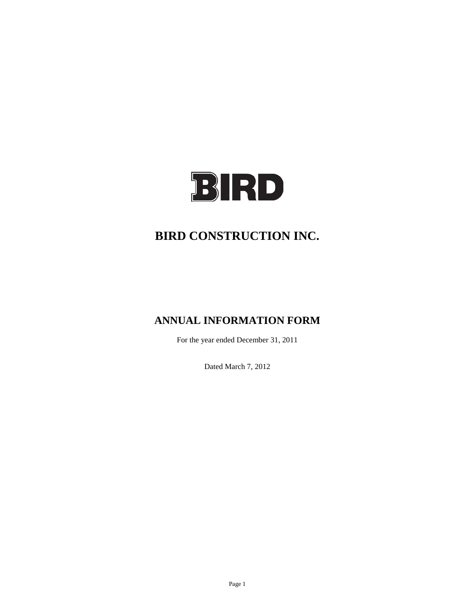

# **BIRD CONSTRUCTION INC.**

# **ANNUAL INFORMATION FORM**

For the year ended December 31, 2011

Dated March 7, 2012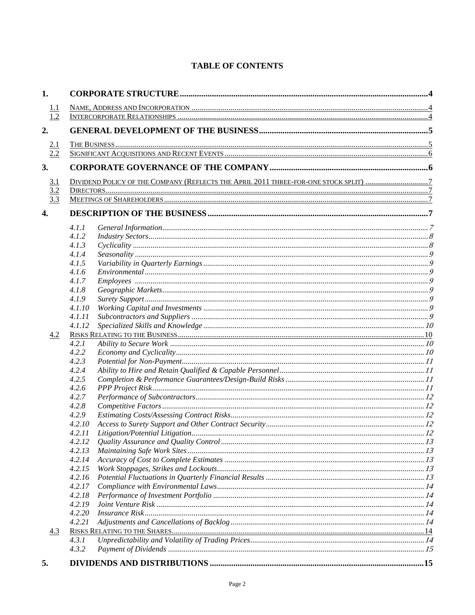## **TABLE OF CONTENTS**

| 1.                |        |  |  |
|-------------------|--------|--|--|
|                   |        |  |  |
| $\frac{1.1}{1.2}$ |        |  |  |
| 2.                |        |  |  |
|                   |        |  |  |
| $\frac{2.1}{2.2}$ |        |  |  |
|                   |        |  |  |
| 3.                |        |  |  |
| <u>3.1</u>        |        |  |  |
| $\frac{3.2}{3.3}$ |        |  |  |
|                   |        |  |  |
| 4.                |        |  |  |
|                   | 4.1.1  |  |  |
|                   | 4.1.2  |  |  |
|                   | 4.1.3  |  |  |
|                   | 4.1.4  |  |  |
|                   | 4.1.5  |  |  |
|                   | 4.1.6  |  |  |
|                   | 4.1.7  |  |  |
|                   | 4.1.8  |  |  |
|                   | 4.1.9  |  |  |
|                   | 4.1.10 |  |  |
|                   | 4.1.11 |  |  |
|                   | 4.1.12 |  |  |
| 4.2               |        |  |  |
|                   | 4.2.1  |  |  |
|                   | 4.2.2  |  |  |
|                   | 4.2.3  |  |  |
|                   | 4.2.4  |  |  |
|                   | 4.2.5  |  |  |
|                   | 4.2.6  |  |  |
|                   | 4.2.7  |  |  |
|                   | 4.2.8  |  |  |
|                   | 4.2.9  |  |  |
|                   | 4.2.10 |  |  |
|                   | 4.2.11 |  |  |
|                   | 4.2.12 |  |  |
|                   | 4.2.13 |  |  |
|                   | 4.2.14 |  |  |
|                   | 4.2.15 |  |  |
|                   | 4.2.16 |  |  |
|                   | 4.2.17 |  |  |
|                   | 4.2.18 |  |  |
|                   | 4.2.19 |  |  |
|                   | 4.2.20 |  |  |
|                   | 4.2.21 |  |  |
| 4.3               |        |  |  |
|                   | 4.3.1  |  |  |
|                   | 4.3.2  |  |  |
| 5.                |        |  |  |
|                   |        |  |  |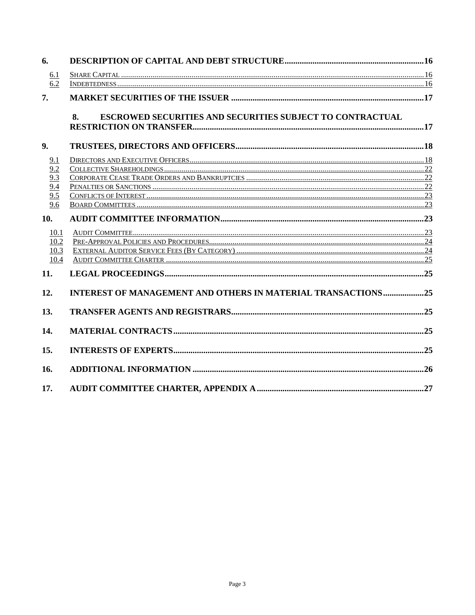| 6.   |                                                                 |  |  |  |
|------|-----------------------------------------------------------------|--|--|--|
| 6.1  |                                                                 |  |  |  |
| 6.2  |                                                                 |  |  |  |
| 7.   |                                                                 |  |  |  |
|      | ESCROWED SECURITIES AND SECURITIES SUBJECT TO CONTRACTUAL<br>8. |  |  |  |
|      |                                                                 |  |  |  |
| 9.   |                                                                 |  |  |  |
| 9.1  |                                                                 |  |  |  |
| 9.2  |                                                                 |  |  |  |
| 9.3  |                                                                 |  |  |  |
| 9.4  |                                                                 |  |  |  |
| 9.5  |                                                                 |  |  |  |
| 9.6  |                                                                 |  |  |  |
| 10.  |                                                                 |  |  |  |
| 10.1 |                                                                 |  |  |  |
| 10.2 |                                                                 |  |  |  |
| 10.3 |                                                                 |  |  |  |
| 10.4 |                                                                 |  |  |  |
| 11.  |                                                                 |  |  |  |
| 12.  | INTEREST OF MANAGEMENT AND OTHERS IN MATERIAL TRANSACTIONS25    |  |  |  |
| 13.  |                                                                 |  |  |  |
| 14.  |                                                                 |  |  |  |
| 15.  |                                                                 |  |  |  |
| 16.  |                                                                 |  |  |  |
| 17.  |                                                                 |  |  |  |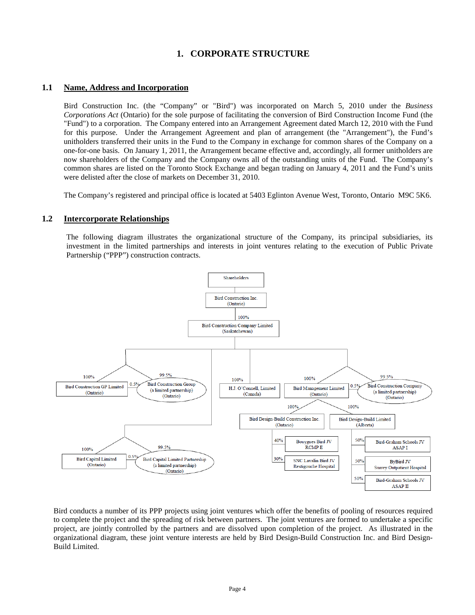## **1. CORPORATE STRUCTURE**

## <span id="page-3-1"></span><span id="page-3-0"></span>**1.1 Name, Address and Incorporation**

Bird Construction Inc. (the "Company" or "Bird") was incorporated on March 5, 2010 under the *Business Corporations Act* (Ontario) for the sole purpose of facilitating the conversion of Bird Construction Income Fund (the "Fund") to a corporation. The Company entered into an Arrangement Agreement dated March 12, 2010 with the Fund for this purpose. Under the Arrangement Agreement and plan of arrangement (the "Arrangement"), the Fund's unitholders transferred their units in the Fund to the Company in exchange for common shares of the Company on a one-for-one basis. On January 1, 2011, the Arrangement became effective and, accordingly, all former unitholders are now shareholders of the Company and the Company owns all of the outstanding units of the Fund. The Company's common shares are listed on the Toronto Stock Exchange and began trading on January 4, 2011 and the Fund's units were delisted after the close of markets on December 31, 2010.

The Company's registered and principal office is located at 5403 Eglinton Avenue West, Toronto, Ontario M9C 5K6.

#### <span id="page-3-2"></span>**1.2 Intercorporate Relationships**

The following diagram illustrates the organizational structure of the Company, its principal subsidiaries, its investment in the limited partnerships and interests in joint ventures relating to the execution of Public Private Partnership ("PPP") construction contracts.



Bird conducts a number of its PPP projects using joint ventures which offer the benefits of pooling of resources required to complete the project and the spreading of risk between partners. The joint ventures are formed to undertake a specific project, are jointly controlled by the partners and are dissolved upon completion of the project. As illustrated in the organizational diagram, these joint venture interests are held by Bird Design-Build Construction Inc. and Bird Design-Build Limited.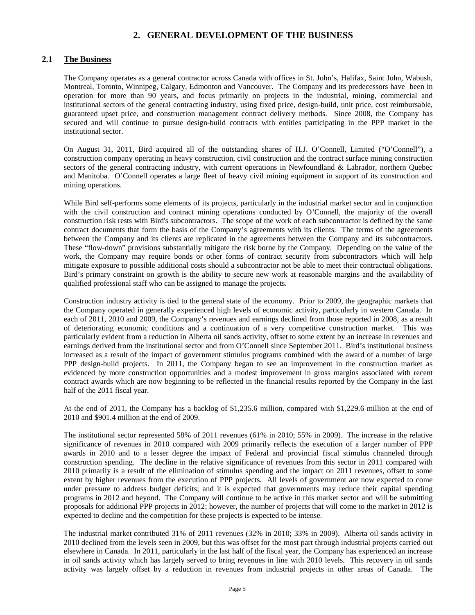## **2. GENERAL DEVELOPMENT OF THE BUSINESS**

### <span id="page-4-1"></span><span id="page-4-0"></span>**2.1 The Business**

The Company operates as a general contractor across Canada with offices in St. John's, Halifax, Saint John, Wabush, Montreal, Toronto, Winnipeg, Calgary, Edmonton and Vancouver. The Company and its predecessors have been in operation for more than 90 years, and focus primarily on projects in the industrial, mining, commercial and institutional sectors of the general contracting industry, using fixed price, design-build, unit price, cost reimbursable, guaranteed upset price, and construction management contract delivery methods. Since 2008, the Company has secured and will continue to pursue design-build contracts with entities participating in the PPP market in the institutional sector.

On August 31, 2011, Bird acquired all of the outstanding shares of H.J. O'Connell, Limited ("O'Connell"), a construction company operating in heavy construction, civil construction and the contract surface mining construction sectors of the general contracting industry, with current operations in Newfoundland & Labrador, northern Quebec and Manitoba. O'Connell operates a large fleet of heavy civil mining equipment in support of its construction and mining operations.

While Bird self-performs some elements of its projects, particularly in the industrial market sector and in conjunction with the civil construction and contract mining operations conducted by O'Connell, the majority of the overall construction risk rests with Bird's subcontractors. The scope of the work of each subcontractor is defined by the same contract documents that form the basis of the Company's agreements with its clients. The terms of the agreements between the Company and its clients are replicated in the agreements between the Company and its subcontractors. These "flow-down" provisions substantially mitigate the risk borne by the Company. Depending on the value of the work, the Company may require bonds or other forms of contract security from subcontractors which will help mitigate exposure to possible additional costs should a subcontractor not be able to meet their contractual obligations. Bird's primary constraint on growth is the ability to secure new work at reasonable margins and the availability of qualified professional staff who can be assigned to manage the projects.

Construction industry activity is tied to the general state of the economy. Prior to 2009, the geographic markets that the Company operated in generally experienced high levels of economic activity, particularly in western Canada. In each of 2011, 2010 and 2009, the Company's revenues and earnings declined from those reported in 2008, as a result of deteriorating economic conditions and a continuation of a very competitive construction market. This was particularly evident from a reduction in Alberta oil sands activity, offset to some extent by an increase in revenues and earnings derived from the institutional sector and from O'Connell since September 2011. Bird's institutional business increased as a result of the impact of government stimulus programs combined with the award of a number of large PPP design-build projects. In 2011, the Company began to see an improvement in the construction market as evidenced by more construction opportunities and a modest improvement in gross margins associated with recent contract awards which are now beginning to be reflected in the financial results reported by the Company in the last half of the 2011 fiscal year.

At the end of 2011, the Company has a backlog of \$1,235.6 million, compared with \$1,229.6 million at the end of 2010 and \$901.4 million at the end of 2009.

The institutional sector represented 58% of 2011 revenues (61% in 2010; 55% in 2009). The increase in the relative significance of revenues in 2010 compared with 2009 primarily reflects the execution of a larger number of PPP awards in 2010 and to a lesser degree the impact of Federal and provincial fiscal stimulus channeled through construction spending. The decline in the relative significance of revenues from this sector in 2011 compared with 2010 primarily is a result of the elimination of stimulus spending and the impact on 2011 revenues, offset to some extent by higher revenues from the execution of PPP projects. All levels of government are now expected to come under pressure to address budget deficits; and it is expected that governments may reduce their capital spending programs in 2012 and beyond. The Company will continue to be active in this market sector and will be submitting proposals for additional PPP projects in 2012; however, the number of projects that will come to the market in 2012 is expected to decline and the competition for these projects is expected to be intense.

The industrial market contributed 31% of 2011 revenues (32% in 2010; 33% in 2009). Alberta oil sands activity in 2010 declined from the levels seen in 2009, but this was offset for the most part through industrial projects carried out elsewhere in Canada. In 2011, particularly in the last half of the fiscal year, the Company has experienced an increase in oil sands activity which has largely served to bring revenues in line with 2010 levels. This recovery in oil sands activity was largely offset by a reduction in revenues from industrial projects in other areas of Canada. The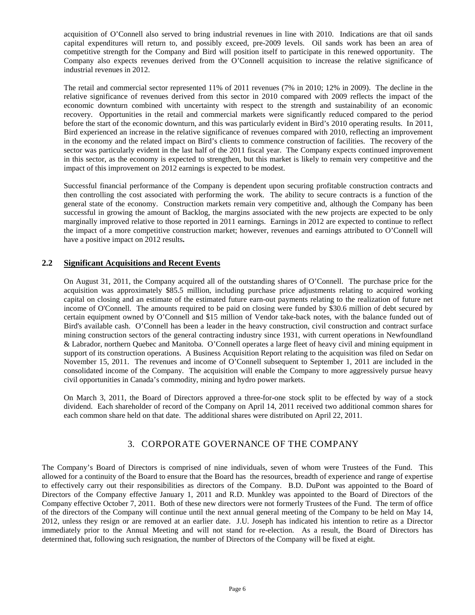acquisition of O'Connell also served to bring industrial revenues in line with 2010. Indications are that oil sands capital expenditures will return to, and possibly exceed, pre-2009 levels. Oil sands work has been an area of competitive strength for the Company and Bird will position itself to participate in this renewed opportunity. The Company also expects revenues derived from the O'Connell acquisition to increase the relative significance of industrial revenues in 2012.

The retail and commercial sector represented 11% of 2011 revenues (7% in 2010; 12% in 2009). The decline in the relative significance of revenues derived from this sector in 2010 compared with 2009 reflects the impact of the economic downturn combined with uncertainty with respect to the strength and sustainability of an economic recovery. Opportunities in the retail and commercial markets were significantly reduced compared to the period before the start of the economic downturn, and this was particularly evident in Bird's 2010 operating results. In 2011, Bird experienced an increase in the relative significance of revenues compared with 2010, reflecting an improvement in the economy and the related impact on Bird's clients to commence construction of facilities. The recovery of the sector was particularly evident in the last half of the 2011 fiscal year. The Company expects continued improvement in this sector, as the economy is expected to strengthen, but this market is likely to remain very competitive and the impact of this improvement on 2012 earnings is expected to be modest.

Successful financial performance of the Company is dependent upon securing profitable construction contracts and then controlling the cost associated with performing the work. The ability to secure contracts is a function of the general state of the economy. Construction markets remain very competitive and, although the Company has been successful in growing the amount of Backlog, the margins associated with the new projects are expected to be only marginally improved relative to those reported in 2011 earnings. Earnings in 2012 are expected to continue to reflect the impact of a more competitive construction market; however, revenues and earnings attributed to O'Connell will have a positive impact on 2012 results**.**

## <span id="page-5-0"></span>**2.2 Significant Acquisitions and Recent Events**

On August 31, 2011, the Company acquired all of the outstanding shares of O'Connell. The purchase price for the acquisition was approximately \$85.5 million, including purchase price adjustments relating to acquired working capital on closing and an estimate of the estimated future earn-out payments relating to the realization of future net income of O'Connell. The amounts required to be paid on closing were funded by \$30.6 million of debt secured by certain equipment owned by O'Connell and \$15 million of Vendor take-back notes, with the balance funded out of Bird's available cash. O'Connell has been a leader in the heavy construction, civil construction and contract surface mining construction sectors of the general contracting industry since 1931, with current operations in Newfoundland & Labrador, northern Quebec and Manitoba. O'Connell operates a large fleet of heavy civil and mining equipment in support of its construction operations. A Business Acquisition Report relating to the acquisition was filed on Sedar on November 15, 2011. The revenues and income of O'Connell subsequent to September 1, 2011 are included in the consolidated income of the Company. The acquisition will enable the Company to more aggressively pursue heavy civil opportunities in Canada's commodity, mining and hydro power markets.

<span id="page-5-1"></span>On March 3, 2011, the Board of Directors approved a three-for-one stock split to be effected by way of a stock dividend. Each shareholder of record of the Company on April 14, 2011 received two additional common shares for each common share held on that date. The additional shares were distributed on April 22, 2011.

## 3. CORPORATE GOVERNANCE OF THE COMPANY

The Company's Board of Directors is comprised of nine individuals, seven of whom were Trustees of the Fund. This allowed for a continuity of the Board to ensure that the Board has the resources, breadth of experience and range of expertise to effectively carry out their responsibilities as directors of the Company. B.D. DuPont was appointed to the Board of Directors of the Company effective January 1, 2011 and R.D. Munkley was appointed to the Board of Directors of the Company effective October 7, 2011. Both of these new directors were not formerly Trustees of the Fund. The term of office of the directors of the Company will continue until the next annual general meeting of the Company to be held on May 14, 2012, unless they resign or are removed at an earlier date. J.U. Joseph has indicated his intention to retire as a Director immediately prior to the Annual Meeting and will not stand for re-election. As a result, the Board of Directors has determined that, following such resignation, the number of Directors of the Company will be fixed at eight.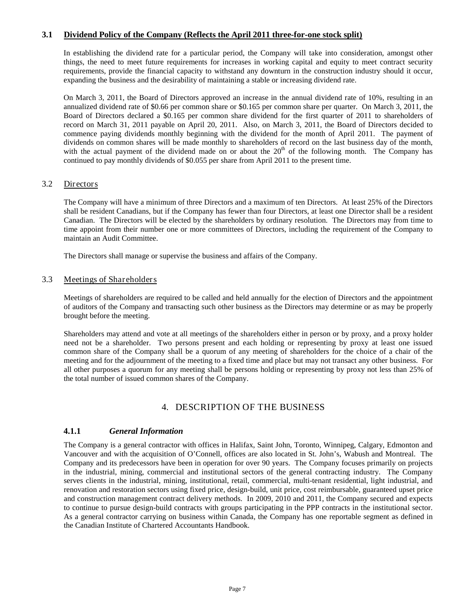## <span id="page-6-0"></span>**3.1 Dividend Policy of the Company (Reflects the April 2011 three-for-one stock split)**

In establishing the dividend rate for a particular period, the Company will take into consideration, amongst other things, the need to meet future requirements for increases in working capital and equity to meet contract security requirements, provide the financial capacity to withstand any downturn in the construction industry should it occur, expanding the business and the desirability of maintaining a stable or increasing dividend rate.

On March 3, 2011, the Board of Directors approved an increase in the annual dividend rate of 10%, resulting in an annualized dividend rate of \$0.66 per common share or \$0.165 per common share per quarter. On March 3, 2011, the Board of Directors declared a \$0.165 per common share dividend for the first quarter of 2011 to shareholders of record on March 31, 2011 payable on April 20, 2011. Also, on March 3, 2011, the Board of Directors decided to commence paying dividends monthly beginning with the dividend for the month of April 2011. The payment of dividends on common shares will be made monthly to shareholders of record on the last business day of the month, with the actual payment of the dividend made on or about the  $20<sup>th</sup>$  of the following month. The Company has continued to pay monthly dividends of \$0.055 per share from April 2011 to the present time.

### <span id="page-6-1"></span>3.2 Directors

The Company will have a minimum of three Directors and a maximum of ten Directors. At least 25% of the Directors shall be resident Canadians, but if the Company has fewer than four Directors, at least one Director shall be a resident Canadian. The Directors will be elected by the shareholders by ordinary resolution. The Directors may from time to time appoint from their number one or more committees of Directors, including the requirement of the Company to maintain an Audit Committee.

The Directors shall manage or supervise the business and affairs of the Company.

### <span id="page-6-2"></span>3.3 Meetings of Shareholders

Meetings of shareholders are required to be called and held annually for the election of Directors and the appointment of auditors of the Company and transacting such other business as the Directors may determine or as may be properly brought before the meeting.

Shareholders may attend and vote at all meetings of the shareholders either in person or by proxy, and a proxy holder need not be a shareholder. Two persons present and each holding or representing by proxy at least one issued common share of the Company shall be a quorum of any meeting of shareholders for the choice of a chair of the meeting and for the adjournment of the meeting to a fixed time and place but may not transact any other business. For all other purposes a quorum for any meeting shall be persons holding or representing by proxy not less than 25% of the total number of issued common shares of the Company.

## 4. DESCRIPTION OF THE BUSINESS

### <span id="page-6-4"></span><span id="page-6-3"></span>**4.1.1** *General Information*

The Company is a general contractor with offices in Halifax, Saint John, Toronto, Winnipeg, Calgary, Edmonton and Vancouver and with the acquisition of O'Connell, offices are also located in St. John's, Wabush and Montreal. The Company and its predecessors have been in operation for over 90 years. The Company focuses primarily on projects in the industrial, mining, commercial and institutional sectors of the general contracting industry. The Company serves clients in the industrial, mining, institutional, retail, commercial, multi-tenant residential, light industrial, and renovation and restoration sectors using fixed price, design-build, unit price, cost reimbursable, guaranteed upset price and construction management contract delivery methods. In 2009, 2010 and 2011, the Company secured and expects to continue to pursue design-build contracts with groups participating in the PPP contracts in the institutional sector. As a general contractor carrying on business within Canada, the Company has one reportable segment as defined in the Canadian Institute of Chartered Accountants Handbook.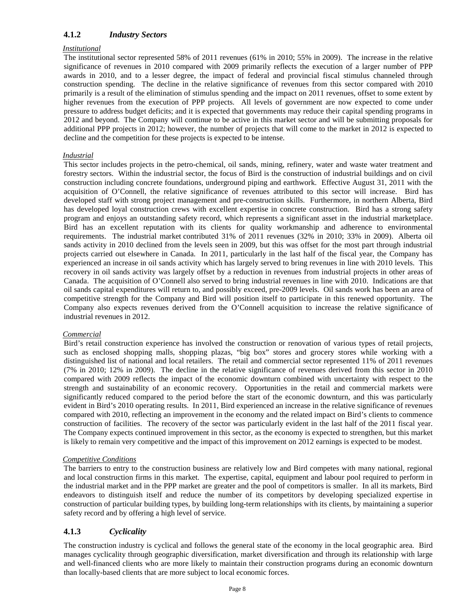## <span id="page-7-0"></span>**4.1.2** *Industry Sectors*

#### *Institutional*

The institutional sector represented 58% of 2011 revenues (61% in 2010; 55% in 2009). The increase in the relative significance of revenues in 2010 compared with 2009 primarily reflects the execution of a larger number of PPP awards in 2010, and to a lesser degree, the impact of federal and provincial fiscal stimulus channeled through construction spending. The decline in the relative significance of revenues from this sector compared with 2010 primarily is a result of the elimination of stimulus spending and the impact on 2011 revenues, offset to some extent by higher revenues from the execution of PPP projects. All levels of government are now expected to come under pressure to address budget deficits; and it is expected that governments may reduce their capital spending programs in 2012 and beyond. The Company will continue to be active in this market sector and will be submitting proposals for additional PPP projects in 2012; however, the number of projects that will come to the market in 2012 is expected to decline and the competition for these projects is expected to be intense.

#### *Industrial*

This sector includes projects in the petro-chemical, oil sands, mining, refinery, water and waste water treatment and forestry sectors. Within the industrial sector, the focus of Bird is the construction of industrial buildings and on civil construction including concrete foundations, underground piping and earthwork. Effective August 31, 2011 with the acquisition of O'Connell, the relative significance of revenues attributed to this sector will increase. Bird has developed staff with strong project management and pre-construction skills. Furthermore, in northern Alberta, Bird has developed loyal construction crews with excellent expertise in concrete construction. Bird has a strong safety program and enjoys an outstanding safety record, which represents a significant asset in the industrial marketplace. Bird has an excellent reputation with its clients for quality workmanship and adherence to environmental requirements. The industrial market contributed 31% of 2011 revenues (32% in 2010; 33% in 2009). Alberta oil sands activity in 2010 declined from the levels seen in 2009, but this was offset for the most part through industrial projects carried out elsewhere in Canada. In 2011, particularly in the last half of the fiscal year, the Company has experienced an increase in oil sands activity which has largely served to bring revenues in line with 2010 levels. This recovery in oil sands activity was largely offset by a reduction in revenues from industrial projects in other areas of Canada. The acquisition of O'Connell also served to bring industrial revenues in line with 2010. Indications are that oil sands capital expenditures will return to, and possibly exceed, pre-2009 levels. Oil sands work has been an area of competitive strength for the Company and Bird will position itself to participate in this renewed opportunity. The Company also expects revenues derived from the O'Connell acquisition to increase the relative significance of industrial revenues in 2012.

### *Commercial*

Bird's retail construction experience has involved the construction or renovation of various types of retail projects, such as enclosed shopping malls, shopping plazas, "big box" stores and grocery stores while working with a distinguished list of national and local retailers. The retail and commercial sector represented 11% of 2011 revenues (7% in 2010; 12% in 2009). The decline in the relative significance of revenues derived from this sector in 2010 compared with 2009 reflects the impact of the economic downturn combined with uncertainty with respect to the strength and sustainability of an economic recovery. Opportunities in the retail and commercial markets were significantly reduced compared to the period before the start of the economic downturn, and this was particularly evident in Bird's 2010 operating results. In 2011, Bird experienced an increase in the relative significance of revenues compared with 2010, reflecting an improvement in the economy and the related impact on Bird's clients to commence construction of facilities. The recovery of the sector was particularly evident in the last half of the 2011 fiscal year. The Company expects continued improvement in this sector, as the economy is expected to strengthen, but this market is likely to remain very competitive and the impact of this improvement on 2012 earnings is expected to be modest.

#### *Competitive Conditions*

The barriers to entry to the construction business are relatively low and Bird competes with many national, regional and local construction firms in this market. The expertise, capital, equipment and labour pool required to perform in the industrial market and in the PPP market are greater and the pool of competitors is smaller. In all its markets, Bird endeavors to distinguish itself and reduce the number of its competitors by developing specialized expertise in construction of particular building types, by building long-term relationships with its clients, by maintaining a superior safety record and by offering a high level of service.

## <span id="page-7-1"></span>**4.1.3** *Cyclicality*

The construction industry is cyclical and follows the general state of the economy in the local geographic area. Bird manages cyclicality through geographic diversification, market diversification and through its relationship with large and well-financed clients who are more likely to maintain their construction programs during an economic downturn than locally-based clients that are more subject to local economic forces.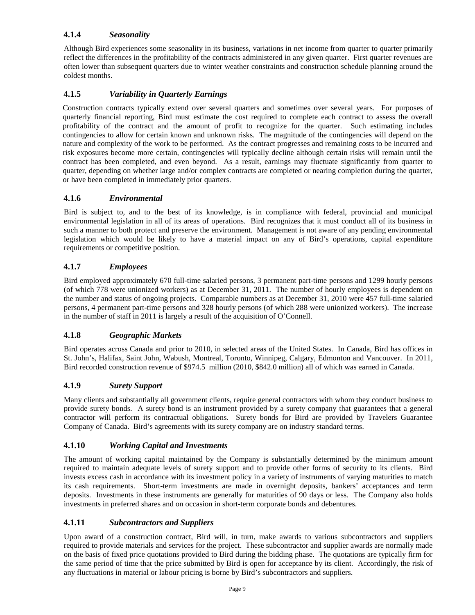## <span id="page-8-0"></span>**4.1.4** *Seasonality*

Although Bird experiences some seasonality in its business, variations in net income from quarter to quarter primarily reflect the differences in the profitability of the contracts administered in any given quarter. First quarter revenues are often lower than subsequent quarters due to winter weather constraints and construction schedule planning around the coldest months.

## <span id="page-8-1"></span>**4.1.5** *Variability in Quarterly Earnings*

Construction contracts typically extend over several quarters and sometimes over several years. For purposes of quarterly financial reporting, Bird must estimate the cost required to complete each contract to assess the overall profitability of the contract and the amount of profit to recognize for the quarter. Such estimating includes contingencies to allow for certain known and unknown risks. The magnitude of the contingencies will depend on the nature and complexity of the work to be performed. As the contract progresses and remaining costs to be incurred and risk exposures become more certain, contingencies will typically decline although certain risks will remain until the contract has been completed, and even beyond. As a result, earnings may fluctuate significantly from quarter to quarter, depending on whether large and/or complex contracts are completed or nearing completion during the quarter, or have been completed in immediately prior quarters.

## <span id="page-8-2"></span>**4.1.6** *Environmental*

Bird is subject to, and to the best of its knowledge, is in compliance with federal, provincial and municipal environmental legislation in all of its areas of operations. Bird recognizes that it must conduct all of its business in such a manner to both protect and preserve the environment. Management is not aware of any pending environmental legislation which would be likely to have a material impact on any of Bird's operations, capital expenditure requirements or competitive position.

## <span id="page-8-3"></span>**4.1.7** *Employees*

Bird employed approximately 670 full-time salaried persons, 3 permanent part-time persons and 1299 hourly persons (of which 778 were unionized workers) as at December 31, 2011. The number of hourly employees is dependent on the number and status of ongoing projects. Comparable numbers as at December 31, 2010 were 457 full-time salaried persons, 4 permanent part-time persons and 328 hourly persons (of which 288 were unionized workers). The increase in the number of staff in 2011 is largely a result of the acquisition of O'Connell.

## <span id="page-8-4"></span>**4.1.8** *Geographic Markets*

Bird operates across Canada and prior to 2010, in selected areas of the United States. In Canada, Bird has offices in St. John's, Halifax, Saint John, Wabush, Montreal, Toronto, Winnipeg, Calgary, Edmonton and Vancouver. In 2011, Bird recorded construction revenue of \$974.5 million (2010, \$842.0 million) all of which was earned in Canada.

## <span id="page-8-5"></span>**4.1.9** *Surety Support*

Many clients and substantially all government clients, require general contractors with whom they conduct business to provide surety bonds. A surety bond is an instrument provided by a surety company that guarantees that a general contractor will perform its contractual obligations. Surety bonds for Bird are provided by Travelers Guarantee Company of Canada. Bird's agreements with its surety company are on industry standard terms.

## <span id="page-8-6"></span>**4.1.10** *Working Capital and Investments*

The amount of working capital maintained by the Company is substantially determined by the minimum amount required to maintain adequate levels of surety support and to provide other forms of security to its clients. Bird invests excess cash in accordance with its investment policy in a variety of instruments of varying maturities to match its cash requirements. Short-term investments are made in overnight deposits, bankers' acceptances and term deposits. Investments in these instruments are generally for maturities of 90 days or less. The Company also holds investments in preferred shares and on occasion in short-term corporate bonds and debentures.

## <span id="page-8-7"></span>**4.1.11** *Subcontractors and Suppliers*

Upon award of a construction contract, Bird will, in turn, make awards to various subcontractors and suppliers required to provide materials and services for the project. These subcontractor and supplier awards are normally made on the basis of fixed price quotations provided to Bird during the bidding phase. The quotations are typically firm for the same period of time that the price submitted by Bird is open for acceptance by its client. Accordingly, the risk of any fluctuations in material or labour pricing is borne by Bird's subcontractors and suppliers.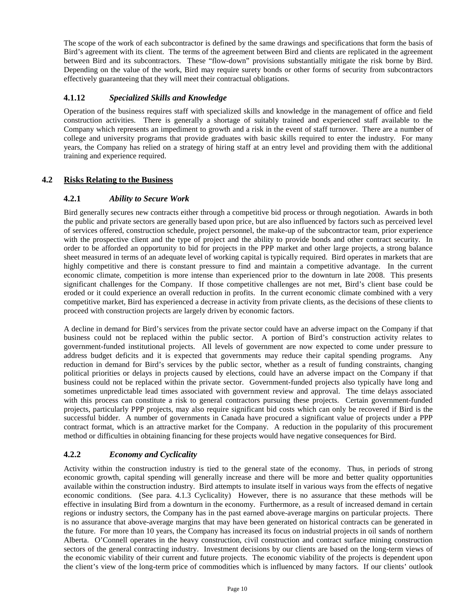The scope of the work of each subcontractor is defined by the same drawings and specifications that form the basis of Bird's agreement with its client. The terms of the agreement between Bird and clients are replicated in the agreement between Bird and its subcontractors. These "flow-down" provisions substantially mitigate the risk borne by Bird. Depending on the value of the work, Bird may require surety bonds or other forms of security from subcontractors effectively guaranteeing that they will meet their contractual obligations.

## <span id="page-9-0"></span>**4.1.12** *Specialized Skills and Knowledge*

Operation of the business requires staff with specialized skills and knowledge in the management of office and field construction activities. There is generally a shortage of suitably trained and experienced staff available to the Company which represents an impediment to growth and a risk in the event of staff turnover. There are a number of college and university programs that provide graduates with basic skills required to enter the industry. For many years, the Company has relied on a strategy of hiring staff at an entry level and providing them with the additional training and experience required.

## <span id="page-9-2"></span><span id="page-9-1"></span>**4.2 Risks Relating to the Business**

## **4.2.1** *Ability to Secure Work*

Bird generally secures new contracts either through a competitive bid process or through negotiation. Awards in both the public and private sectors are generally based upon price, but are also influenced by factors such as perceived level of services offered, construction schedule, project personnel, the make-up of the subcontractor team, prior experience with the prospective client and the type of project and the ability to provide bonds and other contract security. In order to be afforded an opportunity to bid for projects in the PPP market and other large projects, a strong balance sheet measured in terms of an adequate level of working capital is typically required. Bird operates in markets that are highly competitive and there is constant pressure to find and maintain a competitive advantage. In the current economic climate, competition is more intense than experienced prior to the downturn in late 2008. This presents significant challenges for the Company. If those competitive challenges are not met, Bird's client base could be eroded or it could experience an overall reduction in profits. In the current economic climate combined with a very competitive market, Bird has experienced a decrease in activity from private clients, as the decisions of these clients to proceed with construction projects are largely driven by economic factors.

A decline in demand for Bird's services from the private sector could have an adverse impact on the Company if that business could not be replaced within the public sector. A portion of Bird's construction activity relates to government-funded institutional projects. All levels of government are now expected to come under pressure to address budget deficits and it is expected that governments may reduce their capital spending programs. Any reduction in demand for Bird's services by the public sector, whether as a result of funding constraints, changing political priorities or delays in projects caused by elections, could have an adverse impact on the Company if that business could not be replaced within the private sector. Government-funded projects also typically have long and sometimes unpredictable lead times associated with government review and approval. The time delays associated with this process can constitute a risk to general contractors pursuing these projects. Certain government-funded projects, particularly PPP projects, may also require significant bid costs which can only be recovered if Bird is the successful bidder. A number of governments in Canada have procured a significant value of projects under a PPP contract format, which is an attractive market for the Company. A reduction in the popularity of this procurement method or difficulties in obtaining financing for these projects would have negative consequences for Bird.

## <span id="page-9-3"></span>**4.2.2** *Economy and Cyclicality*

Activity within the construction industry is tied to the general state of the economy. Thus, in periods of strong economic growth, capital spending will generally increase and there will be more and better quality opportunities available within the construction industry. Bird attempts to insulate itself in various ways from the effects of negative economic conditions. (See para. 4.1.3 Cyclicality) However, there is no assurance that these methods will be effective in insulating Bird from a downturn in the economy. Furthermore, as a result of increased demand in certain regions or industry sectors, the Company has in the past earned above-average margins on particular projects. There is no assurance that above-average margins that may have been generated on historical contracts can be generated in the future. For more than 10 years, the Company has increased its focus on industrial projects in oil sands of northern Alberta. O'Connell operates in the heavy construction, civil construction and contract surface mining construction sectors of the general contracting industry. Investment decisions by our clients are based on the long-term views of the economic viability of their current and future projects. The economic viability of the projects is dependent upon the client's view of the long-term price of commodities which is influenced by many factors. If our clients' outlook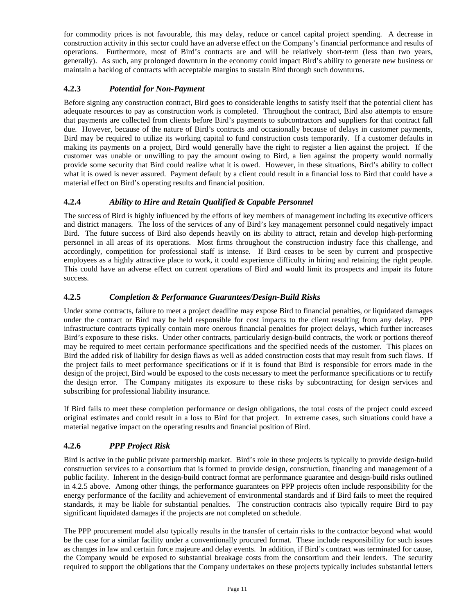for commodity prices is not favourable, this may delay, reduce or cancel capital project spending. A decrease in construction activity in this sector could have an adverse effect on the Company's financial performance and results of operations. Furthermore, most of Bird's contracts are and will be relatively short-term (less than two years, generally). As such, any prolonged downturn in the economy could impact Bird's ability to generate new business or maintain a backlog of contracts with acceptable margins to sustain Bird through such downturns.

## <span id="page-10-0"></span>**4.2.3** *Potential for Non-Payment*

Before signing any construction contract, Bird goes to considerable lengths to satisfy itself that the potential client has adequate resources to pay as construction work is completed. Throughout the contract, Bird also attempts to ensure that payments are collected from clients before Bird's payments to subcontractors and suppliers for that contract fall due. However, because of the nature of Bird's contracts and occasionally because of delays in customer payments, Bird may be required to utilize its working capital to fund construction costs temporarily. If a customer defaults in making its payments on a project, Bird would generally have the right to register a lien against the project. If the customer was unable or unwilling to pay the amount owing to Bird, a lien against the property would normally provide some security that Bird could realize what it is owed. However, in these situations, Bird's ability to collect what it is owed is never assured. Payment default by a client could result in a financial loss to Bird that could have a material effect on Bird's operating results and financial position.

## <span id="page-10-1"></span>**4.2.4** *Ability to Hire and Retain Qualified & Capable Personnel*

The success of Bird is highly influenced by the efforts of key members of management including its executive officers and district managers. The loss of the services of any of Bird's key management personnel could negatively impact Bird. The future success of Bird also depends heavily on its ability to attract, retain and develop high-performing personnel in all areas of its operations. Most firms throughout the construction industry face this challenge, and accordingly, competition for professional staff is intense. If Bird ceases to be seen by current and prospective employees as a highly attractive place to work, it could experience difficulty in hiring and retaining the right people. This could have an adverse effect on current operations of Bird and would limit its prospects and impair its future success.

## <span id="page-10-2"></span>**4.2.5** *Completion & Performance Guarantees/Design-Build Risks*

Under some contracts, failure to meet a project deadline may expose Bird to financial penalties, or liquidated damages under the contract or Bird may be held responsible for cost impacts to the client resulting from any delay. PPP infrastructure contracts typically contain more onerous financial penalties for project delays, which further increases Bird's exposure to these risks. Under other contracts, particularly design-build contracts, the work or portions thereof may be required to meet certain performance specifications and the specified needs of the customer. This places on Bird the added risk of liability for design flaws as well as added construction costs that may result from such flaws. If the project fails to meet performance specifications or if it is found that Bird is responsible for errors made in the design of the project, Bird would be exposed to the costs necessary to meet the performance specifications or to rectify the design error. The Company mitigates its exposure to these risks by subcontracting for design services and subscribing for professional liability insurance.

If Bird fails to meet these completion performance or design obligations, the total costs of the project could exceed original estimates and could result in a loss to Bird for that project. In extreme cases, such situations could have a material negative impact on the operating results and financial position of Bird.

## <span id="page-10-3"></span>**4.2.6** *PPP Project Risk*

Bird is active in the public private partnership market. Bird's role in these projects is typically to provide design-build construction services to a consortium that is formed to provide design, construction, financing and management of a public facility. Inherent in the design-build contract format are performance guarantee and design-build risks outlined in 4.2.5 above. Among other things, the performance guarantees on PPP projects often include responsibility for the energy performance of the facility and achievement of environmental standards and if Bird fails to meet the required standards, it may be liable for substantial penalties. The construction contracts also typically require Bird to pay significant liquidated damages if the projects are not completed on schedule.

The PPP procurement model also typically results in the transfer of certain risks to the contractor beyond what would be the case for a similar facility under a conventionally procured format. These include responsibility for such issues as changes in law and certain force majeure and delay events. In addition, if Bird's contract was terminated for cause, the Company would be exposed to substantial breakage costs from the consortium and their lenders. The security required to support the obligations that the Company undertakes on these projects typically includes substantial letters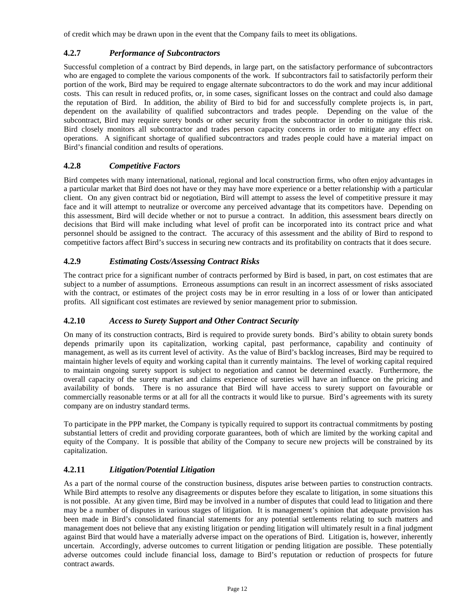<span id="page-11-0"></span>of credit which may be drawn upon in the event that the Company fails to meet its obligations.

## **4.2.7** *Performance of Subcontractors*

Successful completion of a contract by Bird depends, in large part, on the satisfactory performance of subcontractors who are engaged to complete the various components of the work. If subcontractors fail to satisfactorily perform their portion of the work, Bird may be required to engage alternate subcontractors to do the work and may incur additional costs. This can result in reduced profits, or, in some cases, significant losses on the contract and could also damage the reputation of Bird. In addition, the ability of Bird to bid for and successfully complete projects is, in part, dependent on the availability of qualified subcontractors and trades people. Depending on the value of the subcontract, Bird may require surety bonds or other security from the subcontractor in order to mitigate this risk. Bird closely monitors all subcontractor and trades person capacity concerns in order to mitigate any effect on operations. A significant shortage of qualified subcontractors and trades people could have a material impact on Bird's financial condition and results of operations.

## <span id="page-11-1"></span>**4.2.8** *Competitive Factors*

Bird competes with many international, national, regional and local construction firms, who often enjoy advantages in a particular market that Bird does not have or they may have more experience or a better relationship with a particular client. On any given contract bid or negotiation, Bird will attempt to assess the level of competitive pressure it may face and it will attempt to neutralize or overcome any perceived advantage that its competitors have. Depending on this assessment, Bird will decide whether or not to pursue a contract. In addition, this assessment bears directly on decisions that Bird will make including what level of profit can be incorporated into its contract price and what personnel should be assigned to the contract. The accuracy of this assessment and the ability of Bird to respond to competitive factors affect Bird's success in securing new contracts and its profitability on contracts that it does secure.

## <span id="page-11-2"></span>**4.2.9** *Estimating Costs/Assessing Contract Risks*

The contract price for a significant number of contracts performed by Bird is based, in part, on cost estimates that are subject to a number of assumptions. Erroneous assumptions can result in an incorrect assessment of risks associated with the contract, or estimates of the project costs may be in error resulting in a loss of or lower than anticipated profits. All significant cost estimates are reviewed by senior management prior to submission.

## <span id="page-11-3"></span>**4.2.10** *Access to Surety Support and Other Contract Security*

On many of its construction contracts, Bird is required to provide surety bonds. Bird's ability to obtain surety bonds depends primarily upon its capitalization, working capital, past performance, capability and continuity of management, as well as its current level of activity. As the value of Bird's backlog increases, Bird may be required to maintain higher levels of equity and working capital than it currently maintains. The level of working capital required to maintain ongoing surety support is subject to negotiation and cannot be determined exactly. Furthermore, the overall capacity of the surety market and claims experience of sureties will have an influence on the pricing and availability of bonds. There is no assurance that Bird will have access to surety support on favourable or commercially reasonable terms or at all for all the contracts it would like to pursue. Bird's agreements with its surety company are on industry standard terms.

To participate in the PPP market, the Company is typically required to support its contractual commitments by posting substantial letters of credit and providing corporate guarantees, both of which are limited by the working capital and equity of the Company. It is possible that ability of the Company to secure new projects will be constrained by its capitalization.

## <span id="page-11-4"></span>**4.2.11** *Litigation/Potential Litigation*

As a part of the normal course of the construction business, disputes arise between parties to construction contracts. While Bird attempts to resolve any disagreements or disputes before they escalate to litigation, in some situations this is not possible. At any given time, Bird may be involved in a number of disputes that could lead to litigation and there may be a number of disputes in various stages of litigation. It is management's opinion that adequate provision has been made in Bird's consolidated financial statements for any potential settlements relating to such matters and management does not believe that any existing litigation or pending litigation will ultimately result in a final judgment against Bird that would have a materially adverse impact on the operations of Bird. Litigation is, however, inherently uncertain. Accordingly, adverse outcomes to current litigation or pending litigation are possible. These potentially adverse outcomes could include financial loss, damage to Bird's reputation or reduction of prospects for future contract awards.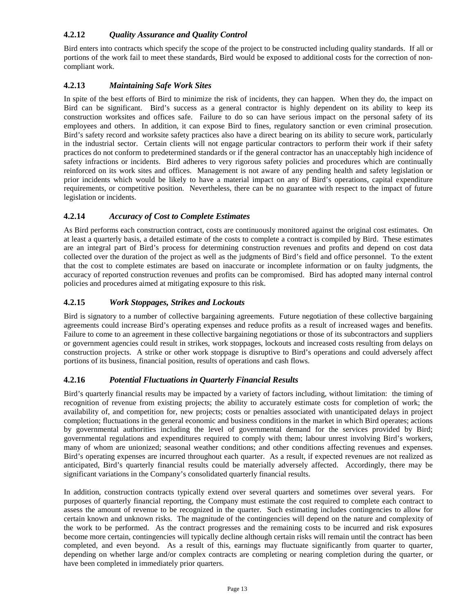## <span id="page-12-0"></span>**4.2.12** *Quality Assurance and Quality Control*

Bird enters into contracts which specify the scope of the project to be constructed including quality standards. If all or portions of the work fail to meet these standards, Bird would be exposed to additional costs for the correction of noncompliant work.

### <span id="page-12-1"></span>**4.2.13** *Maintaining Safe Work Sites*

In spite of the best efforts of Bird to minimize the risk of incidents, they can happen. When they do, the impact on Bird can be significant. Bird's success as a general contractor is highly dependent on its ability to keep its construction worksites and offices safe. Failure to do so can have serious impact on the personal safety of its employees and others. In addition, it can expose Bird to fines, regulatory sanction or even criminal prosecution. Bird's safety record and worksite safety practices also have a direct bearing on its ability to secure work, particularly in the industrial sector. Certain clients will not engage particular contractors to perform their work if their safety practices do not conform to predetermined standards or if the general contractor has an unacceptably high incidence of safety infractions or incidents. Bird adheres to very rigorous safety policies and procedures which are continually reinforced on its work sites and offices. Management is not aware of any pending health and safety legislation or prior incidents which would be likely to have a material impact on any of Bird's operations, capital expenditure requirements, or competitive position. Nevertheless, there can be no guarantee with respect to the impact of future legislation or incidents.

### <span id="page-12-2"></span>**4.2.14** *Accuracy of Cost to Complete Estimates*

As Bird performs each construction contract, costs are continuously monitored against the original cost estimates. On at least a quarterly basis, a detailed estimate of the costs to complete a contract is compiled by Bird. These estimates are an integral part of Bird's process for determining construction revenues and profits and depend on cost data collected over the duration of the project as well as the judgments of Bird's field and office personnel. To the extent that the cost to complete estimates are based on inaccurate or incomplete information or on faulty judgments, the accuracy of reported construction revenues and profits can be compromised. Bird has adopted many internal control policies and procedures aimed at mitigating exposure to this risk.

### <span id="page-12-3"></span>**4.2.15** *Work Stoppages, Strikes and Lockouts*

Bird is signatory to a number of collective bargaining agreements. Future negotiation of these collective bargaining agreements could increase Bird's operating expenses and reduce profits as a result of increased wages and benefits. Failure to come to an agreement in these collective bargaining negotiations or those of its subcontractors and suppliers or government agencies could result in strikes, work stoppages, lockouts and increased costs resulting from delays on construction projects. A strike or other work stoppage is disruptive to Bird's operations and could adversely affect portions of its business, financial position, results of operations and cash flows.

## <span id="page-12-4"></span>**4.2.16** *Potential Fluctuations in Quarterly Financial Results*

Bird's quarterly financial results may be impacted by a variety of factors including, without limitation: the timing of recognition of revenue from existing projects; the ability to accurately estimate costs for completion of work; the availability of, and competition for, new projects; costs or penalties associated with unanticipated delays in project completion; fluctuations in the general economic and business conditions in the market in which Bird operates; actions by governmental authorities including the level of governmental demand for the services provided by Bird; governmental regulations and expenditures required to comply with them; labour unrest involving Bird's workers, many of whom are unionized; seasonal weather conditions; and other conditions affecting revenues and expenses. Bird's operating expenses are incurred throughout each quarter. As a result, if expected revenues are not realized as anticipated, Bird's quarterly financial results could be materially adversely affected. Accordingly, there may be significant variations in the Company's consolidated quarterly financial results.

In addition, construction contracts typically extend over several quarters and sometimes over several years. For purposes of quarterly financial reporting, the Company must estimate the cost required to complete each contract to assess the amount of revenue to be recognized in the quarter. Such estimating includes contingencies to allow for certain known and unknown risks. The magnitude of the contingencies will depend on the nature and complexity of the work to be performed. As the contract progresses and the remaining costs to be incurred and risk exposures become more certain, contingencies will typically decline although certain risks will remain until the contract has been completed, and even beyond. As a result of this, earnings may fluctuate significantly from quarter to quarter, depending on whether large and/or complex contracts are completing or nearing completion during the quarter, or have been completed in immediately prior quarters.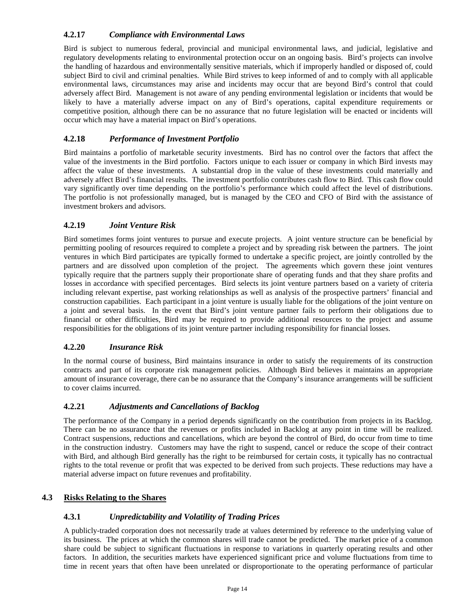## <span id="page-13-0"></span>**4.2.17** *Compliance with Environmental Laws*

Bird is subject to numerous federal, provincial and municipal environmental laws, and judicial, legislative and regulatory developments relating to environmental protection occur on an ongoing basis. Bird's projects can involve the handling of hazardous and environmentally sensitive materials, which if improperly handled or disposed of, could subject Bird to civil and criminal penalties. While Bird strives to keep informed of and to comply with all applicable environmental laws, circumstances may arise and incidents may occur that are beyond Bird's control that could adversely affect Bird. Management is not aware of any pending environmental legislation or incidents that would be likely to have a materially adverse impact on any of Bird's operations, capital expenditure requirements or competitive position, although there can be no assurance that no future legislation will be enacted or incidents will occur which may have a material impact on Bird's operations.

## <span id="page-13-1"></span>**4.2.18** *Performance of Investment Portfolio*

Bird maintains a portfolio of marketable security investments. Bird has no control over the factors that affect the value of the investments in the Bird portfolio. Factors unique to each issuer or company in which Bird invests may affect the value of these investments. A substantial drop in the value of these investments could materially and adversely affect Bird's financial results. The investment portfolio contributes cash flow to Bird. This cash flow could vary significantly over time depending on the portfolio's performance which could affect the level of distributions. The portfolio is not professionally managed, but is managed by the CEO and CFO of Bird with the assistance of investment brokers and advisors.

## <span id="page-13-2"></span>**4.2.19** *Joint Venture Risk*

Bird sometimes forms joint ventures to pursue and execute projects. A joint venture structure can be beneficial by permitting pooling of resources required to complete a project and by spreading risk between the partners. The joint ventures in which Bird participates are typically formed to undertake a specific project, are jointly controlled by the partners and are dissolved upon completion of the project. The agreements which govern these joint ventures typically require that the partners supply their proportionate share of operating funds and that they share profits and losses in accordance with specified percentages. Bird selects its joint venture partners based on a variety of criteria including relevant expertise, past working relationships as well as analysis of the prospective partners' financial and construction capabilities. Each participant in a joint venture is usually liable for the obligations of the joint venture on a joint and several basis. In the event that Bird's joint venture partner fails to perform their obligations due to financial or other difficulties, Bird may be required to provide additional resources to the project and assume responsibilities for the obligations of its joint venture partner including responsibility for financial losses.

## <span id="page-13-3"></span>**4.2.20** *Insurance Risk*

In the normal course of business, Bird maintains insurance in order to satisfy the requirements of its construction contracts and part of its corporate risk management policies. Although Bird believes it maintains an appropriate amount of insurance coverage, there can be no assurance that the Company's insurance arrangements will be sufficient to cover claims incurred.

## <span id="page-13-4"></span>**4.2.21** *Adjustments and Cancellations of Backlog*

The performance of the Company in a period depends significantly on the contribution from projects in its Backlog. There can be no assurance that the revenues or profits included in Backlog at any point in time will be realized. Contract suspensions, reductions and cancellations, which are beyond the control of Bird, do occur from time to time in the construction industry. Customers may have the right to suspend, cancel or reduce the scope of their contract with Bird, and although Bird generally has the right to be reimbursed for certain costs, it typically has no contractual rights to the total revenue or profit that was expected to be derived from such projects. These reductions may have a material adverse impact on future revenues and profitability.

## <span id="page-13-6"></span><span id="page-13-5"></span>**4.3 Risks Relating to the Shares**

## **4.3.1** *Unpredictability and Volatility of Trading Prices*

A publicly-traded corporation does not necessarily trade at values determined by reference to the underlying value of its business. The prices at which the common shares will trade cannot be predicted. The market price of a common share could be subject to significant fluctuations in response to variations in quarterly operating results and other factors. In addition, the securities markets have experienced significant price and volume fluctuations from time to time in recent years that often have been unrelated or disproportionate to the operating performance of particular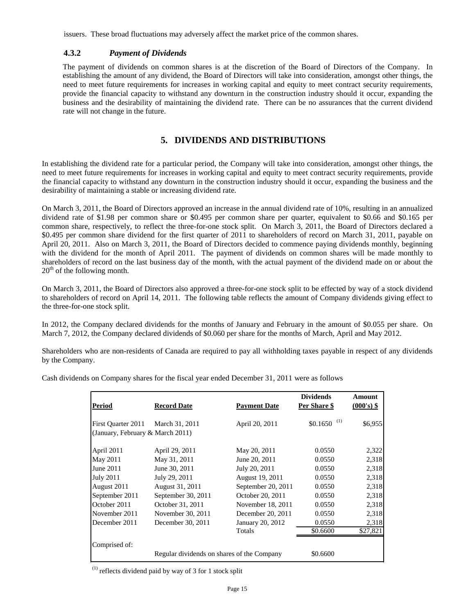<span id="page-14-0"></span>issuers. These broad fluctuations may adversely affect the market price of the common shares.

### **4.3.2** *Payment of Dividends*

The payment of dividends on common shares is at the discretion of the Board of Directors of the Company. In establishing the amount of any dividend, the Board of Directors will take into consideration, amongst other things, the need to meet future requirements for increases in working capital and equity to meet contract security requirements, provide the financial capacity to withstand any downturn in the construction industry should it occur, expanding the business and the desirability of maintaining the dividend rate. There can be no assurances that the current dividend rate will not change in the future.

## **5. DIVIDENDS AND DISTRIBUTIONS**

<span id="page-14-1"></span>In establishing the dividend rate for a particular period, the Company will take into consideration, amongst other things, the need to meet future requirements for increases in working capital and equity to meet contract security requirements, provide the financial capacity to withstand any downturn in the construction industry should it occur, expanding the business and the desirability of maintaining a stable or increasing dividend rate.

On March 3, 2011, the Board of Directors approved an increase in the annual dividend rate of 10%, resulting in an annualized dividend rate of \$1.98 per common share or \$0.495 per common share per quarter, equivalent to \$0.66 and \$0.165 per common share, respectively, to reflect the three-for-one stock split. On March 3, 2011, the Board of Directors declared a \$0.495 per common share dividend for the first quarter of 2011 to shareholders of record on March 31, 2011, payable on April 20, 2011. Also on March 3, 2011, the Board of Directors decided to commence paying dividends monthly, beginning with the dividend for the month of April 2011. The payment of dividends on common shares will be made monthly to shareholders of record on the last business day of the month, with the actual payment of the dividend made on or about the  $20<sup>th</sup>$  of the following month.

On March 3, 2011, the Board of Directors also approved a three-for-one stock split to be effected by way of a stock dividend to shareholders of record on April 14, 2011. The following table reflects the amount of Company dividends giving effect to the three-for-one stock split.

In 2012, the Company declared dividends for the months of January and February in the amount of \$0.055 per share. On March 7, 2012, the Company declared dividends of \$0.060 per share for the months of March, April and May 2012.

Shareholders who are non-residents of Canada are required to pay all withholding taxes payable in respect of any dividends by the Company.

Cash dividends on Company shares for the fiscal year ended December 31, 2011 were as follows

| Period                                                 | <b>Record Date</b>                         | <b>Payment Date</b> | <b>Dividends</b><br>Per Share \$ | Amount<br>$(000's)$ \$ |  |
|--------------------------------------------------------|--------------------------------------------|---------------------|----------------------------------|------------------------|--|
| First Ouarter 2011<br>(January, February & March 2011) | March 31, 2011                             | April 20, 2011      | (1)<br>\$0.1650                  | \$6,955                |  |
|                                                        |                                            |                     |                                  |                        |  |
| April 2011                                             | April 29, 2011                             | May 20, 2011        | 0.0550                           | 2,322                  |  |
| May 2011                                               | May 31, 2011                               | June 20, 2011       | 0.0550                           | 2,318                  |  |
| June 2011                                              | June 30, 2011                              | July 20, 2011       | 0.0550                           | 2,318                  |  |
| <b>July 2011</b>                                       | July 29, 2011                              | August 19, 2011     | 0.0550                           | 2,318                  |  |
| August 2011                                            | August 31, 2011                            | September 20, 2011  | 0.0550                           | 2,318                  |  |
| September 2011                                         | September 30, 2011                         | October 20, 2011    | 0.0550                           | 2,318                  |  |
| October 2011                                           | October 31, 2011                           | November 18, 2011   | 0.0550                           | 2,318                  |  |
| November 2011                                          | November 30, 2011                          | December 20, 2011   | 0.0550                           | 2,318                  |  |
| December 2011                                          | December 30, 2011                          | January 20, 2012    | 0.0550                           | 2,318                  |  |
|                                                        |                                            | Totals              | \$0.6600                         | \$27,821               |  |
| Comprised of:                                          |                                            |                     |                                  |                        |  |
|                                                        | Regular dividends on shares of the Company |                     | \$0.6600                         |                        |  |

 $<sup>(1)</sup>$  reflects dividend paid by way of 3 for 1 stock split</sup>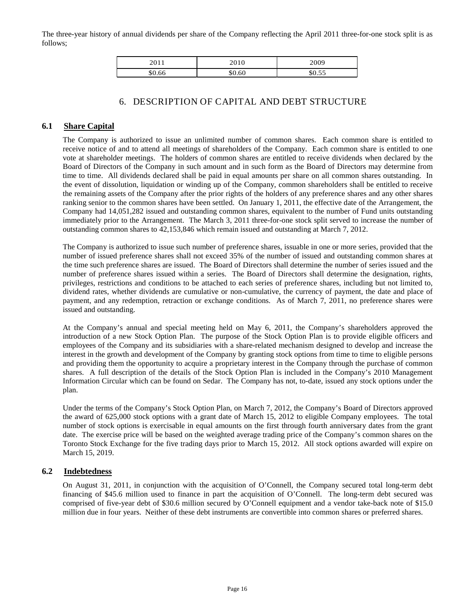The three-year history of annual dividends per share of the Company reflecting the April 2011 three-for-one stock split is as follows;

| 2011<br>້            | 2010   | 2009   |
|----------------------|--------|--------|
| $\sim$<br>.oo<br>י ה | \$0.60 | \$0.55 |

## 6. DESCRIPTION OF CAPITAL AND DEBT STRUCTURE

### <span id="page-15-1"></span><span id="page-15-0"></span>**6.1 Share Capital**

The Company is authorized to issue an unlimited number of common shares. Each common share is entitled to receive notice of and to attend all meetings of shareholders of the Company. Each common share is entitled to one vote at shareholder meetings. The holders of common shares are entitled to receive dividends when declared by the Board of Directors of the Company in such amount and in such form as the Board of Directors may determine from time to time. All dividends declared shall be paid in equal amounts per share on all common shares outstanding. In the event of dissolution, liquidation or winding up of the Company, common shareholders shall be entitled to receive the remaining assets of the Company after the prior rights of the holders of any preference shares and any other shares ranking senior to the common shares have been settled. On January 1, 2011, the effective date of the Arrangement, the Company had 14,051,282 issued and outstanding common shares, equivalent to the number of Fund units outstanding immediately prior to the Arrangement. The March 3, 2011 three-for-one stock split served to increase the number of outstanding common shares to 42,153,846 which remain issued and outstanding at March 7, 2012.

The Company is authorized to issue such number of preference shares, issuable in one or more series, provided that the number of issued preference shares shall not exceed 35% of the number of issued and outstanding common shares at the time such preference shares are issued. The Board of Directors shall determine the number of series issued and the number of preference shares issued within a series. The Board of Directors shall determine the designation, rights, privileges, restrictions and conditions to be attached to each series of preference shares, including but not limited to, dividend rates, whether dividends are cumulative or non-cumulative, the currency of payment, the date and place of payment, and any redemption, retraction or exchange conditions. As of March 7, 2011, no preference shares were issued and outstanding.

At the Company's annual and special meeting held on May 6, 2011, the Company's shareholders approved the introduction of a new Stock Option Plan. The purpose of the Stock Option Plan is to provide eligible officers and employees of the Company and its subsidiaries with a share-related mechanism designed to develop and increase the interest in the growth and development of the Company by granting stock options from time to time to eligible persons and providing them the opportunity to acquire a proprietary interest in the Company through the purchase of common shares. A full description of the details of the Stock Option Plan is included in the Company's 2010 Management Information Circular which can be found on Sedar. The Company has not, to-date, issued any stock options under the plan.

Under the terms of the Company's Stock Option Plan, on March 7, 2012, the Company's Board of Directors approved the award of 625,000 stock options with a grant date of March 15, 2012 to eligible Company employees. The total number of stock options is exercisable in equal amounts on the first through fourth anniversary dates from the grant date. The exercise price will be based on the weighted average trading price of the Company's common shares on the Toronto Stock Exchange for the five trading days prior to March 15, 2012. All stock options awarded will expire on March 15, 2019.

### <span id="page-15-2"></span>**6.2 Indebtedness**

<span id="page-15-3"></span>On August 31, 2011, in conjunction with the acquisition of O'Connell, the Company secured total long-term debt financing of \$45.6 million used to finance in part the acquisition of O'Connell. The long-term debt secured was comprised of five-year debt of \$30.6 million secured by O'Connell equipment and a vendor take-back note of \$15.0 million due in four years. Neither of these debt instruments are convertible into common shares or preferred shares.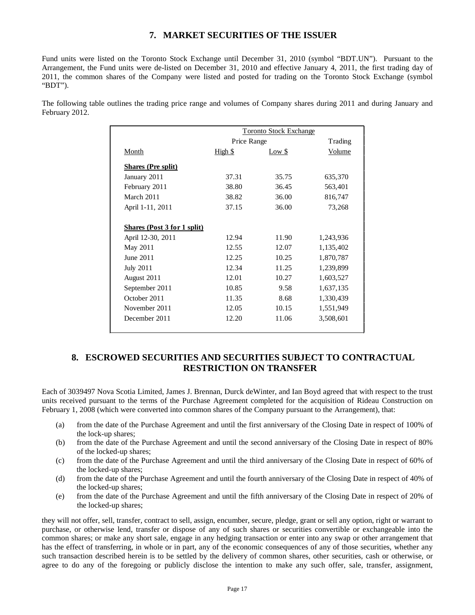## **7. MARKET SECURITIES OF THE ISSUER**

Fund units were listed on the Toronto Stock Exchange until December 31, 2010 (symbol "BDT.UN"). Pursuant to the Arrangement, the Fund units were de-listed on December 31, 2010 and effective January 4, 2011, the first trading day of 2011, the common shares of the Company were listed and posted for trading on the Toronto Stock Exchange (symbol "BDT").

The following table outlines the trading price range and volumes of Company shares during 2011 and during January and February 2012.

|                                    |             | <b>Toronto Stock Exchange</b> |           |
|------------------------------------|-------------|-------------------------------|-----------|
|                                    | Price Range |                               | Trading   |
| Month                              | High \$     | Low \$                        | Volume    |
| <b>Shares</b> (Pre split)          |             |                               |           |
| January 2011                       | 37.31       | 35.75                         | 635,370   |
| February 2011                      | 38.80       | 36.45                         | 563,401   |
| March 2011                         | 38.82       | 36.00                         | 816,747   |
| April 1-11, 2011                   | 37.15       | 36.00                         | 73,268    |
| <b>Shares (Post 3 for 1 split)</b> |             |                               |           |
| April 12-30, 2011                  | 12.94       | 11.90                         | 1,243,936 |
| May 2011                           | 12.55       | 12.07                         | 1,135,402 |
| June 2011                          | 12.25       | 10.25                         | 1,870,787 |
| <b>July 2011</b>                   | 12.34       | 11.25                         | 1,239,899 |
| August 2011                        | 12.01       | 10.27                         | 1,603,527 |
| September 2011                     | 10.85       | 9.58                          | 1,637,135 |
| October 2011                       | 11.35       | 8.68                          | 1,330,439 |
| November 2011                      | 12.05       | 10.15                         | 1,551,949 |
| December 2011                      | 12.20       | 11.06                         | 3,508,601 |
|                                    |             |                               |           |

## <span id="page-16-0"></span>**8. ESCROWED SECURITIES AND SECURITIES SUBJECT TO CONTRACTUAL RESTRICTION ON TRANSFER**

Each of 3039497 Nova Scotia Limited, James J. Brennan, Durck deWinter, and Ian Boyd agreed that with respect to the trust units received pursuant to the terms of the Purchase Agreement completed for the acquisition of Rideau Construction on February 1, 2008 (which were converted into common shares of the Company pursuant to the Arrangement), that:

- (a) from the date of the Purchase Agreement and until the first anniversary of the Closing Date in respect of 100% of the lock-up shares;
- (b) from the date of the Purchase Agreement and until the second anniversary of the Closing Date in respect of 80% of the locked-up shares;
- (c) from the date of the Purchase Agreement and until the third anniversary of the Closing Date in respect of 60% of the locked-up shares;
- (d) from the date of the Purchase Agreement and until the fourth anniversary of the Closing Date in respect of 40% of the locked-up shares;
- (e) from the date of the Purchase Agreement and until the fifth anniversary of the Closing Date in respect of 20% of the locked-up shares;

they will not offer, sell, transfer, contract to sell, assign, encumber, secure, pledge, grant or sell any option, right or warrant to purchase, or otherwise lend, transfer or dispose of any of such shares or securities convertible or exchangeable into the common shares; or make any short sale, engage in any hedging transaction or enter into any swap or other arrangement that has the effect of transferring, in whole or in part, any of the economic consequences of any of those securities, whether any such transaction described herein is to be settled by the delivery of common shares, other securities, cash or otherwise, or agree to do any of the foregoing or publicly disclose the intention to make any such offer, sale, transfer, assignment,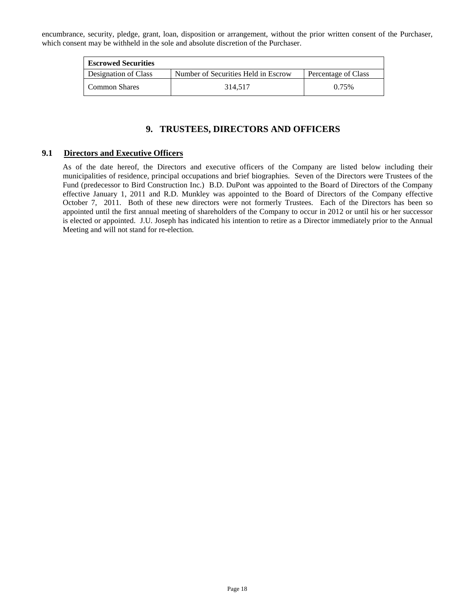encumbrance, security, pledge, grant, loan, disposition or arrangement, without the prior written consent of the Purchaser, which consent may be withheld in the sole and absolute discretion of the Purchaser.

| <b>Escrowed Securities</b> |                                     |                     |  |  |
|----------------------------|-------------------------------------|---------------------|--|--|
| Designation of Class       | Number of Securities Held in Escrow | Percentage of Class |  |  |
| <b>Common Shares</b>       | 314.517                             | 0.75%               |  |  |

## **9. TRUSTEES, DIRECTORS AND OFFICERS**

### <span id="page-17-1"></span><span id="page-17-0"></span>**9.1 Directors and Executive Officers**

As of the date hereof, the Directors and executive officers of the Company are listed below including their municipalities of residence, principal occupations and brief biographies. Seven of the Directors were Trustees of the Fund (predecessor to Bird Construction Inc.) B.D. DuPont was appointed to the Board of Directors of the Company effective January 1, 2011 and R.D. Munkley was appointed to the Board of Directors of the Company effective October 7, 2011. Both of these new directors were not formerly Trustees. Each of the Directors has been so appointed until the first annual meeting of shareholders of the Company to occur in 2012 or until his or her successor is elected or appointed. J.U. Joseph has indicated his intention to retire as a Director immediately prior to the Annual Meeting and will not stand for re-election.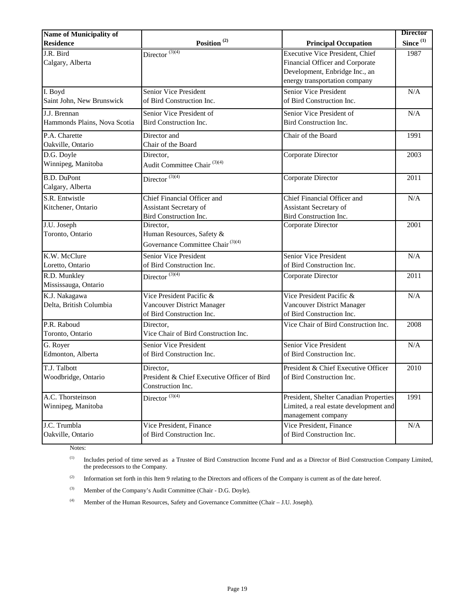| Name of Municipality of                      |                                                                                        |                                                                                                                                              | <b>Director</b>           |
|----------------------------------------------|----------------------------------------------------------------------------------------|----------------------------------------------------------------------------------------------------------------------------------------------|---------------------------|
| <b>Residence</b>                             | Position <sup>(2)</sup>                                                                | <b>Principal Occupation</b>                                                                                                                  | Since $^{\left(1\right)}$ |
| J.R. Bird<br>Calgary, Alberta                | Director $\overline{^{(3)(4)}}$                                                        | <b>Executive Vice President, Chief</b><br>Financial Officer and Corporate<br>Development, Enbridge Inc., an<br>energy transportation company | 1987                      |
| I. Boyd<br>Saint John, New Brunswick         | Senior Vice President<br>of Bird Construction Inc.                                     | Senior Vice President<br>of Bird Construction Inc.                                                                                           | N/A                       |
| J.J. Brennan<br>Hammonds Plains, Nova Scotia | Senior Vice President of<br>Bird Construction Inc.                                     | Senior Vice President of<br><b>Bird Construction Inc.</b>                                                                                    | N/A                       |
| P.A. Charette<br>Oakville, Ontario           | Director and<br>Chair of the Board                                                     | Chair of the Board                                                                                                                           | 1991                      |
| D.G. Doyle<br>Winnipeg, Manitoba             | Director,<br>Audit Committee Chair <sup>(3)(4)</sup>                                   | Corporate Director                                                                                                                           | 2003                      |
| <b>B.D.</b> DuPont<br>Calgary, Alberta       | Director $(3)(4)$                                                                      | Corporate Director                                                                                                                           | 2011                      |
| S.R. Entwistle<br>Kitchener, Ontario         | Chief Financial Officer and<br>Assistant Secretary of<br>Bird Construction Inc.        | Chief Financial Officer and<br>Assistant Secretary of<br>Bird Construction Inc.                                                              | N/A                       |
| J.U. Joseph<br>Toronto, Ontario              | Director,<br>Human Resources, Safety &<br>Governance Committee Chair <sup>(3)(4)</sup> | Corporate Director                                                                                                                           | 2001                      |
| K.W. McClure<br>Loretto, Ontario             | Senior Vice President<br>of Bird Construction Inc.                                     | Senior Vice President<br>of Bird Construction Inc.                                                                                           | N/A                       |
| R.D. Munkley<br>Mississauga, Ontario         | Director $\overline{^{(3)(4)}}$                                                        | Corporate Director                                                                                                                           | 2011                      |
| K.J. Nakagawa<br>Delta, British Columbia     | Vice President Pacific &<br>Vancouver District Manager<br>of Bird Construction Inc.    | Vice President Pacific &<br>Vancouver District Manager<br>of Bird Construction Inc.                                                          | N/A                       |
| P.R. Raboud<br>Toronto, Ontario              | Director,<br>Vice Chair of Bird Construction Inc.                                      | Vice Chair of Bird Construction Inc.                                                                                                         | 2008                      |
| G. Royer<br>Edmonton, Alberta                | Senior Vice President<br>of Bird Construction Inc.                                     | Senior Vice President<br>of Bird Construction Inc.                                                                                           | N/A                       |
| T.J. Talbott<br>Woodbridge, Ontario          | Director,<br>President & Chief Executive Officer of Bird<br>Construction Inc.          | President & Chief Executive Officer<br>of Bird Construction Inc.                                                                             | 2010                      |
| A.C. Thorsteinson<br>Winnipeg, Manitoba      | Director $(3)(4)$                                                                      | President, Shelter Canadian Properties<br>Limited, a real estate development and<br>management company                                       | 1991                      |
| J.C. Trumbla<br>Oakville, Ontario            | Vice President, Finance<br>of Bird Construction Inc.                                   | Vice President, Finance<br>of Bird Construction Inc.                                                                                         | $\rm N/A$                 |

Notes:

(1) Includes period of time served as a Trustee of Bird Construction Income Fund and as a Director of Bird Construction Company Limited, the predecessors to the Company.

<sup>(2)</sup> Information set forth in this Item 9 relating to the Directors and officers of the Company is current as of the date hereof.

(3) Member of the Company's Audit Committee (Chair - D.G. Doyle).

(4) Member of the Human Resources, Safety and Governance Committee (Chair – J.U. Joseph).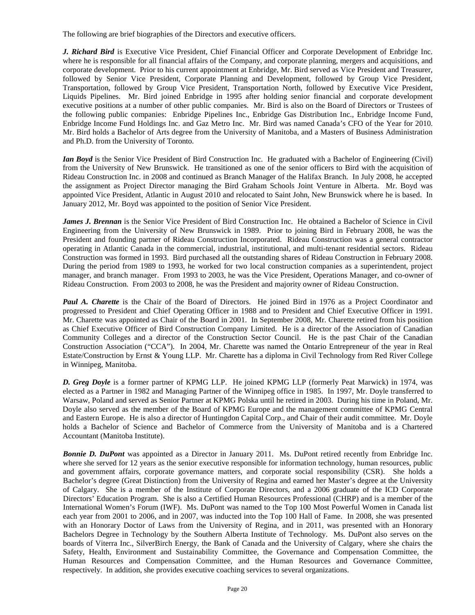The following are brief biographies of the Directors and executive officers.

*J. Richard Bird* is Executive Vice President, Chief Financial Officer and Corporate Development of Enbridge Inc. where he is responsible for all financial affairs of the Company, and corporate planning, mergers and acquisitions, and corporate development. Prior to his current appointment at Enbridge, Mr. Bird served as Vice President and Treasurer, followed by Senior Vice President, Corporate Planning and Development, followed by Group Vice President, Transportation, followed by Group Vice President, Transportation North, followed by Executive Vice President, Liquids Pipelines. Mr. Bird joined Enbridge in 1995 after holding senior financial and corporate development executive positions at a number of other public companies. Mr. Bird is also on the Board of Directors or Trustees of the following public companies: Enbridge Pipelines Inc., Enbridge Gas Distribution Inc., Enbridge Income Fund, Enbridge Income Fund Holdings Inc. and Gaz Metro Inc. Mr. Bird was named Canada's CFO of the Year for 2010. Mr. Bird holds a Bachelor of Arts degree from the University of Manitoba, and a Masters of Business Administration and Ph.D. from the University of Toronto.

*Ian Boyd* is the Senior Vice President of Bird Construction Inc. He graduated with a Bachelor of Engineering (Civil) from the University of New Brunswick. He transitioned as one of the senior officers to Bird with the acquisition of Rideau Construction Inc. in 2008 and continued as Branch Manager of the Halifax Branch. In July 2008, he accepted the assignment as Project Director managing the Bird Graham Schools Joint Venture in Alberta. Mr. Boyd was appointed Vice President, Atlantic in August 2010 and relocated to Saint John, New Brunswick where he is based. In January 2012, Mr. Boyd was appointed to the position of Senior Vice President.

*James J. Brennan* is the Senior Vice President of Bird Construction Inc. He obtained a Bachelor of Science in Civil Engineering from the University of New Brunswick in 1989. Prior to joining Bird in February 2008, he was the President and founding partner of Rideau Construction Incorporated. Rideau Construction was a general contractor operating in Atlantic Canada in the commercial, industrial, institutional, and multi-tenant residential sectors. Rideau Construction was formed in 1993. Bird purchased all the outstanding shares of Rideau Construction in February 2008. During the period from 1989 to 1993, he worked for two local construction companies as a superintendent, project manager, and branch manager. From 1993 to 2003, he was the Vice President, Operations Manager, and co-owner of Rideau Construction. From 2003 to 2008, he was the President and majority owner of Rideau Construction.

*Paul A. Charette* is the Chair of the Board of Directors. He joined Bird in 1976 as a Project Coordinator and progressed to President and Chief Operating Officer in 1988 and to President and Chief Executive Officer in 1991. Mr. Charette was appointed as Chair of the Board in 2001. In September 2008, Mr. Charette retired from his position as Chief Executive Officer of Bird Construction Company Limited. He is a director of the Association of Canadian Community Colleges and a director of the Construction Sector Council. He is the past Chair of the Canadian Construction Association ("CCA"). In 2004, Mr. Charette was named the Ontario Entrepreneur of the year in Real Estate/Construction by Ernst & Young LLP. Mr. Charette has a diploma in Civil Technology from Red River College in Winnipeg, Manitoba.

*D. Greg Doyle* is a former partner of KPMG LLP. He joined KPMG LLP (formerly Peat Marwick) in 1974, was elected as a Partner in 1982 and Managing Partner of the Winnipeg office in 1985. In 1997, Mr. Doyle transferred to Warsaw, Poland and served as Senior Partner at KPMG Polska until he retired in 2003. During his time in Poland, Mr. Doyle also served as the member of the Board of KPMG Europe and the management committee of KPMG Central and Eastern Europe. He is also a director of Huntingdon Capital Corp., and Chair of their audit committee. Mr. Doyle holds a Bachelor of Science and Bachelor of Commerce from the University of Manitoba and is a Chartered Accountant (Manitoba Institute).

**Bonnie D. DuPont** was appointed as a Director in January 2011. Ms. DuPont retired recently from Enbridge Inc. where she served for 12 years as the senior executive responsible for information technology, human resources, public and government affairs, corporate governance matters, and corporate social responsibility (CSR). She holds a Bachelor's degree (Great Distinction) from the University of Regina and earned her Master's degree at the University of Calgary. She is a member of the Institute of Corporate Directors, and a 2006 graduate of the ICD Corporate Directors' Education Program. She is also a Certified Human Resources Professional (CHRP) and is a member of the International Women's Forum (IWF). Ms. DuPont was named to the Top 100 Most Powerful Women in Canada list each year from 2001 to 2006, and in 2007, was inducted into the Top 100 Hall of Fame. In 2008, she was presented with an Honorary Doctor of Laws from the University of Regina, and in 2011, was presented with an Honorary Bachelors Degree in Technology by the Southern Alberta Institute of Technology. Ms. DuPont also serves on the boards of Viterra Inc., SilverBirch Energy, the Bank of Canada and the University of Calgary, where she chairs the Safety, Health, Environment and Sustainability Committee, the Governance and Compensation Committee, the Human Resources and Compensation Committee, and the Human Resources and Governance Committee, respectively. In addition, she provides executive coaching services to several organizations.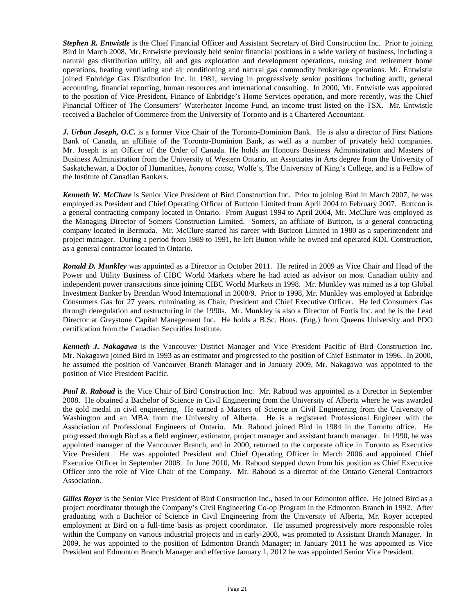*Stephen R. Entwistle* is the Chief Financial Officer and Assistant Secretary of Bird Construction Inc. Prior to joining Bird in March 2008, Mr. Entwistle previously held senior financial positions in a wide variety of business, including a natural gas distribution utility, oil and gas exploration and development operations, nursing and retirement home operations, heating ventilating and air conditioning and natural gas commodity brokerage operations. Mr. Entwistle joined Enbridge Gas Distribution Inc. in 1981, serving in progressively senior positions including audit, general accounting, financial reporting, human resources and international consulting. In 2000, Mr. Entwistle was appointed to the position of Vice-President, Finance of Enbridge's Home Services operation, and more recently, was the Chief Financial Officer of The Consumers' Waterheater Income Fund, an income trust listed on the TSX. Mr. Entwistle received a Bachelor of Commerce from the University of Toronto and is a Chartered Accountant.

*J. Urban Joseph, O.C.* is a former Vice Chair of the Toronto-Dominion Bank. He is also a director of First Nations Bank of Canada, an affiliate of the Toronto-Dominion Bank, as well as a number of privately held companies. Mr. Joseph is an Officer of the Order of Canada. He holds an Honours Business Administration and Masters of Business Administration from the University of Western Ontario, an Associates in Arts degree from the University of Saskatchewan, a Doctor of Humanities, *honoris causa,* Wolfe's, The University of King's College, and is a Fellow of the Institute of Canadian Bankers.

*Kenneth W. McClure* is Senior Vice President of Bird Construction Inc. Prior to joining Bird in March 2007, he was employed as President and Chief Operating Officer of Buttcon Limited from April 2004 to February 2007. Buttcon is a general contracting company located in Ontario. From August 1994 to April 2004, Mr. McClure was employed as the Managing Director of Somers Construction Limited. Somers, an affiliate of Buttcon, is a general contracting company located in Bermuda. Mr. McClure started his career with Buttcon Limited in 1980 as a superintendent and project manager. During a period from 1989 to 1991, he left Button while he owned and operated KDL Construction, as a general contractor located in Ontario.

*Ronald D. Munkley* was appointed as a Director in October 2011. He retired in 2009 as Vice Chair and Head of the Power and Utility Business of CIBC World Markets where he had acted as advisor on most Canadian utility and independent power transactions since joining CIBC World Markets in 1998. Mr. Munkley was named as a top Global Investment Banker by Brendan Wood International in 2008/9. Prior to 1998, Mr. Munkley was employed at Enbridge Consumers Gas for 27 years, culminating as Chair, President and Chief Executive Officer. He led Consumers Gas through deregulation and restructuring in the 1990s. Mr. Munkley is also a Director of Fortis Inc. and he is the Lead Director at Greystone Capital Management Inc. He holds a B.Sc. Hons. (Eng.) from Queens University and PDO certification from the Canadian Securities Institute.

*Kenneth J. Nakagawa* is the Vancouver District Manager and Vice President Pacific of Bird Construction Inc. Mr. Nakagawa joined Bird in 1993 as an estimator and progressed to the position of Chief Estimator in 1996. In 2000, he assumed the position of Vancouver Branch Manager and in January 2009, Mr. Nakagawa was appointed to the position of Vice President Pacific.

*Paul R. Raboud* is the Vice Chair of Bird Construction Inc. Mr. Raboud was appointed as a Director in September 2008. He obtained a Bachelor of Science in Civil Engineering from the University of Alberta where he was awarded the gold medal in civil engineering. He earned a Masters of Science in Civil Engineering from the University of Washington and an MBA from the University of Alberta. He is a registered Professional Engineer with the Association of Professional Engineers of Ontario. Mr. Raboud joined Bird in 1984 in the Toronto office. He progressed through Bird as a field engineer, estimator, project manager and assistant branch manager. In 1990, he was appointed manager of the Vancouver Branch, and in 2000, returned to the corporate office in Toronto as Executive Vice President. He was appointed President and Chief Operating Officer in March 2006 and appointed Chief Executive Officer in September 2008. In June 2010, Mr. Raboud stepped down from his position as Chief Executive Officer into the role of Vice Chair of the Company. Mr. Raboud is a director of the Ontario General Contractors Association.

*Gilles Royer* is the Senior Vice President of Bird Construction Inc., based in our Edmonton office. He joined Bird as a project coordinator through the Company's Civil Engineering Co-op Program in the Edmonton Branch in 1992. After graduating with a Bachelor of Science in Civil Engineering from the University of Alberta, Mr. Royer accepted employment at Bird on a full-time basis as project coordinator. He assumed progressively more responsible roles within the Company on various industrial projects and in early-2008, was promoted to Assistant Branch Manager. In 2009, he was appointed to the position of Edmonton Branch Manager; in January 2011 he was appointed as Vice President and Edmonton Branch Manager and effective January 1, 2012 he was appointed Senior Vice President.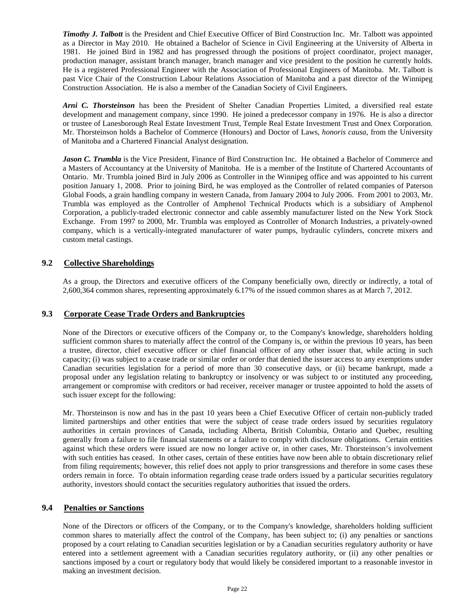*Timothy J. Talbott* is the President and Chief Executive Officer of Bird Construction Inc. Mr. Talbott was appointed as a Director in May 2010. He obtained a Bachelor of Science in Civil Engineering at the University of Alberta in 1981. He joined Bird in 1982 and has progressed through the positions of project coordinator, project manager, production manager, assistant branch manager, branch manager and vice president to the position he currently holds. He is a registered Professional Engineer with the Association of Professional Engineers of Manitoba. Mr. Talbott is past Vice Chair of the Construction Labour Relations Association of Manitoba and a past director of the Winnipeg Construction Association. He is also a member of the Canadian Society of Civil Engineers.

*Arni C. Thorsteinson* has been the President of Shelter Canadian Properties Limited, a diversified real estate development and management company, since 1990. He joined a predecessor company in 1976. He is also a director or trustee of Lanesborough Real Estate Investment Trust, Temple Real Estate Investment Trust and Onex Corporation. Mr. Thorsteinson holds a Bachelor of Commerce (Honours) and Doctor of Laws, *honoris causa,* from the University of Manitoba and a Chartered Financial Analyst designation.

*Jason C. Trumbla* is the Vice President, Finance of Bird Construction Inc. He obtained a Bachelor of Commerce and a Masters of Accountancy at the University of Manitoba. He is a member of the Institute of Chartered Accountants of Ontario. Mr. Trumbla joined Bird in July 2006 as Controller in the Winnipeg office and was appointed to his current position January 1, 2008. Prior to joining Bird, he was employed as the Controller of related companies of Paterson Global Foods, a grain handling company in western Canada, from January 2004 to July 2006. From 2001 to 2003, Mr. Trumbla was employed as the Controller of Amphenol Technical Products which is a subsidiary of Amphenol Corporation, a publicly-traded electronic connector and cable assembly manufacturer listed on the New York Stock Exchange. From 1997 to 2000, Mr. Trumbla was employed as Controller of Monarch Industries, a privately-owned company, which is a vertically-integrated manufacturer of water pumps, hydraulic cylinders, concrete mixers and custom metal castings.

## <span id="page-21-0"></span>**9.2 Collective Shareholdings**

As a group, the Directors and executive officers of the Company beneficially own, directly or indirectly, a total of 2,600,364 common shares, representing approximately 6.17% of the issued common shares as at March 7, 2012.

## <span id="page-21-1"></span>**9.3 Corporate Cease Trade Orders and Bankruptcies**

None of the Directors or executive officers of the Company or, to the Company's knowledge, shareholders holding sufficient common shares to materially affect the control of the Company is, or within the previous 10 years, has been a trustee, director, chief executive officer or chief financial officer of any other issuer that, while acting in such capacity; (i) was subject to a cease trade or similar order or order that denied the issuer access to any exemptions under Canadian securities legislation for a period of more than 30 consecutive days, or (ii) became bankrupt, made a proposal under any legislation relating to bankruptcy or insolvency or was subject to or instituted any proceeding, arrangement or compromise with creditors or had receiver, receiver manager or trustee appointed to hold the assets of such issuer except for the following:

Mr. Thorsteinson is now and has in the past 10 years been a Chief Executive Officer of certain non-publicly traded limited partnerships and other entities that were the subject of cease trade orders issued by securities regulatory authorities in certain provinces of Canada, including Alberta, British Columbia, Ontario and Quebec, resulting generally from a failure to file financial statements or a failure to comply with disclosure obligations. Certain entities against which these orders were issued are now no longer active or, in other cases, Mr. Thorsteinson's involvement with such entities has ceased. In other cases, certain of these entities have now been able to obtain discretionary relief from filing requirements; however, this relief does not apply to prior transgressions and therefore in some cases these orders remain in force. To obtain information regarding cease trade orders issued by a particular securities regulatory authority, investors should contact the securities regulatory authorities that issued the orders.

### <span id="page-21-2"></span>**9.4 Penalties or Sanctions**

None of the Directors or officers of the Company, or to the Company's knowledge, shareholders holding sufficient common shares to materially affect the control of the Company, has been subject to; (i) any penalties or sanctions proposed by a court relating to Canadian securities legislation or by a Canadian securities regulatory authority or have entered into a settlement agreement with a Canadian securities regulatory authority, or (ii) any other penalties or sanctions imposed by a court or regulatory body that would likely be considered important to a reasonable investor in making an investment decision.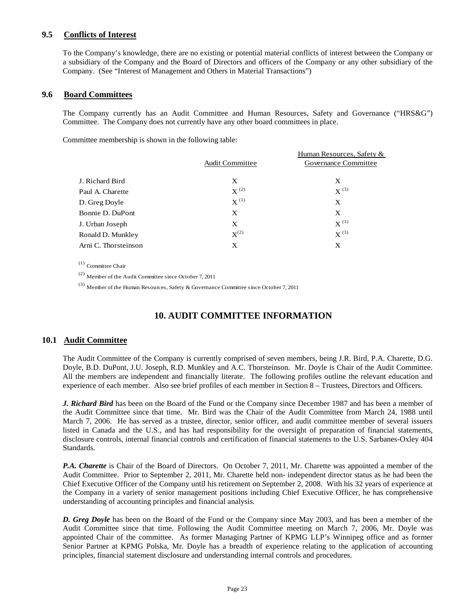## <span id="page-22-0"></span>**9.5 Conflicts of Interest**

To the Company's knowledge, there are no existing or potential material conflicts of interest between the Company or a subsidiary of the Company and the Board of Directors and officers of the Company or any other subsidiary of the Company. (See "Interest of Management and Others in Material Transactions")

### <span id="page-22-1"></span>**9.6 Board Committees**

The Company currently has an Audit Committee and Human Resources, Safety and Governance ("HRS&G") Committee. The Company does not currently have any other board committees in place.

Committee membership is shown in the following table:

|                      |                        | Human Resources, Safety & |
|----------------------|------------------------|---------------------------|
|                      | <b>Audit Committee</b> | Governance Committee      |
| J. Richard Bird      | X                      | X                         |
| Paul A. Charette     | $X^{(2)}$              | $X^{(3)}$                 |
| D. Greg Doyle        | $X^{(1)}$              | X                         |
| Bonnie D. DuPont     | X                      | X                         |
| J. Urban Joseph      | X                      | $X^{(1)}$                 |
| Ronald D. Munkley    | $X^{(2)}$              | $X^{(3)}$                 |
| Arni C. Thorsteinson | X                      | X                         |
|                      |                        |                           |

(1) Committee Chair

(2) Member of the Audit Committee since October 7, 2011

<span id="page-22-2"></span>(3) Member of the Human Resources, Safety & Governance Committee since October 7, 2011

## **10. AUDIT COMMITTEE INFORMATION**

### <span id="page-22-3"></span>**10.1 Audit Committee**

The Audit Committee of the Company is currently comprised of seven members, being J.R. Bird, P.A. Charette, D.G. Doyle, B.D. DuPont, J.U. Joseph, R.D. Munkley and A.C. Thorsteinson. Mr. Doyle is Chair of the Audit Committee. All the members are independent and financially literate. The following profiles outline the relevant education and experience of each member. Also see brief profiles of each member in Section 8 – Trustees, Directors and Officers.

*J. Richard Bird* has been on the Board of the Fund or the Company since December 1987 and has been a member of the Audit Committee since that time. Mr. Bird was the Chair of the Audit Committee from March 24, 1988 until March 7, 2006. He has served as a trustee, director, senior officer, and audit committee member of several issuers listed in Canada and the U.S., and has had responsibility for the oversight of preparation of financial statements, disclosure controls, internal financial controls and certification of financial statements to the U.S. Sarbanes-Oxley 404 Standards.

*P.A. Charette* is Chair of the Board of Directors. On October 7, 2011, Mr. Charette was appointed a member of the Audit Committee. Prior to September 2, 2011, Mr. Charette held non- independent director status as he had been the Chief Executive Officer of the Company until his retirement on September 2, 2008. With his 32 years of experience at the Company in a variety of senior management positions including Chief Executive Officer, he has comprehensive understanding of accounting principles and financial analysis.

*D. Greg Doyle* has been on the Board of the Fund or the Company since May 2003, and has been a member of the Audit Committee since that time. Following the Audit Committee meeting on March 7, 2006, Mr. Doyle was appointed Chair of the committee. As former Managing Partner of KPMG LLP's Winnipeg office and as former Senior Partner at KPMG Polska, Mr. Doyle has a breadth of experience relating to the application of accounting principles, financial statement disclosure and understanding internal controls and procedures.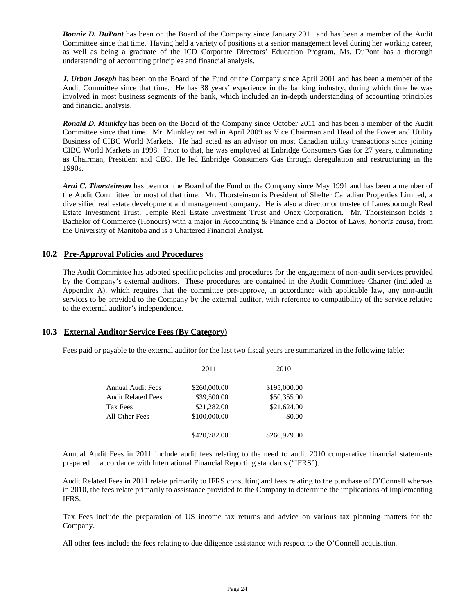*Bonnie D. DuPont* has been on the Board of the Company since January 2011 and has been a member of the Audit Committee since that time. Having held a variety of positions at a senior management level during her working career, as well as being a graduate of the ICD Corporate Directors' Education Program, Ms. DuPont has a thorough understanding of accounting principles and financial analysis.

*J. Urban Joseph* has been on the Board of the Fund or the Company since April 2001 and has been a member of the Audit Committee since that time. He has 38 years' experience in the banking industry, during which time he was involved in most business segments of the bank, which included an in-depth understanding of accounting principles and financial analysis.

*Ronald D. Munkley* has been on the Board of the Company since October 2011 and has been a member of the Audit Committee since that time. Mr. Munkley retired in April 2009 as Vice Chairman and Head of the Power and Utility Business of CIBC World Markets. He had acted as an advisor on most Canadian utility transactions since joining CIBC World Markets in 1998. Prior to that, he was employed at Enbridge Consumers Gas for 27 years, culminating as Chairman, President and CEO. He led Enbridge Consumers Gas through deregulation and restructuring in the 1990s.

*Arni C. Thorsteinson* has been on the Board of the Fund or the Company since May 1991 and has been a member of the Audit Committee for most of that time. Mr. Thorsteinson is President of Shelter Canadian Properties Limited, a diversified real estate development and management company. He is also a director or trustee of Lanesborough Real Estate Investment Trust, Temple Real Estate Investment Trust and Onex Corporation. Mr. Thorsteinson holds a Bachelor of Commerce (Honours) with a major in Accounting & Finance and a Doctor of Laws, *honoris causa*, from the University of Manitoba and is a Chartered Financial Analyst.

## <span id="page-23-0"></span>**10.2 Pre-Approval Policies and Procedures**

The Audit Committee has adopted specific policies and procedures for the engagement of non-audit services provided by the Company's external auditors. These procedures are contained in the Audit Committee Charter (included as Appendix A), which requires that the committee pre-approve, in accordance with applicable law, any non-audit services to be provided to the Company by the external auditor, with reference to compatibility of the service relative to the external auditor's independence.

### <span id="page-23-1"></span>**10.3 External Auditor Service Fees (By Category)**

Fees paid or payable to the external auditor for the last two fiscal years are summarized in the following table:

|                    | 2011         | 2010         |
|--------------------|--------------|--------------|
| Annual Audit Fees  | \$260,000.00 | \$195,000.00 |
| Audit Related Fees | \$39,500.00  | \$50,355.00  |
| Tax Fees           | \$21,282.00  | \$21,624.00  |
| All Other Fees     | \$100,000.00 | \$0.00       |
|                    | \$420,782.00 | \$266,979.00 |

Annual Audit Fees in 2011 include audit fees relating to the need to audit 2010 comparative financial statements prepared in accordance with International Financial Reporting standards ("IFRS").

Audit Related Fees in 2011 relate primarily to IFRS consulting and fees relating to the purchase of O'Connell whereas in 2010, the fees relate primarily to assistance provided to the Company to determine the implications of implementing IFRS.

Tax Fees include the preparation of US income tax returns and advice on various tax planning matters for the Company.

All other fees include the fees relating to due diligence assistance with respect to the O'Connell acquisition.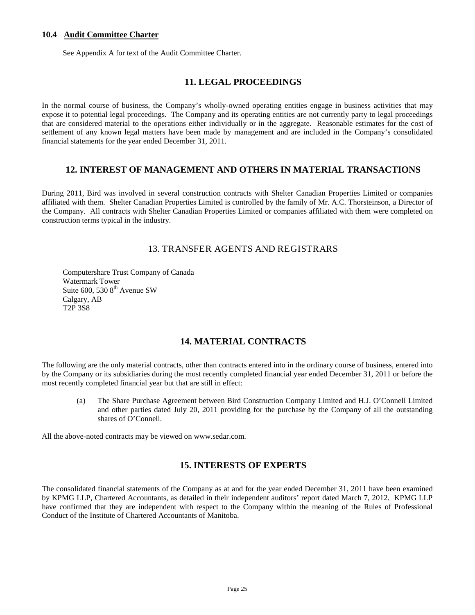## <span id="page-24-0"></span>**10.4 Audit Committee Charter**

<span id="page-24-1"></span>See Appendix A for text of the Audit Committee Charter.

## **11. LEGAL PROCEEDINGS**

In the normal course of business, the Company's wholly-owned operating entities engage in business activities that may expose it to potential legal proceedings. The Company and its operating entities are not currently party to legal proceedings that are considered material to the operations either individually or in the aggregate. Reasonable estimates for the cost of settlement of any known legal matters have been made by management and are included in the Company's consolidated financial statements for the year ended December 31, 2011.

## <span id="page-24-2"></span>**12. INTEREST OF MANAGEMENT AND OTHERS IN MATERIAL TRANSACTIONS**

<span id="page-24-3"></span>During 2011, Bird was involved in several construction contracts with Shelter Canadian Properties Limited or companies affiliated with them. Shelter Canadian Properties Limited is controlled by the family of Mr. A.C. Thorsteinson, a Director of the Company. All contracts with Shelter Canadian Properties Limited or companies affiliated with them were completed on construction terms typical in the industry.

## 13. TRANSFER AGENTS AND REGISTRARS

Computershare Trust Company of Canada Watermark Tower Suite 600, 530 8<sup>th</sup> Avenue SW Calgary, AB T2P 3S8

## **14. MATERIAL CONTRACTS**

<span id="page-24-4"></span>The following are the only material contracts, other than contracts entered into in the ordinary course of business, entered into by the Company or its subsidiaries during the most recently completed financial year ended December 31, 2011 or before the most recently completed financial year but that are still in effect:

(a) The Share Purchase Agreement between Bird Construction Company Limited and H.J. O'Connell Limited and other parties dated July 20, 2011 providing for the purchase by the Company of all the outstanding shares of O'Connell.

<span id="page-24-5"></span>All the above-noted contracts may be viewed on www.sedar.com.

## **15. INTERESTS OF EXPERTS**

<span id="page-24-6"></span>The consolidated financial statements of the Company as at and for the year ended December 31, 2011 have been examined by KPMG LLP, Chartered Accountants, as detailed in their independent auditors' report dated March 7, 2012. KPMG LLP have confirmed that they are independent with respect to the Company within the meaning of the Rules of Professional Conduct of the Institute of Chartered Accountants of Manitoba.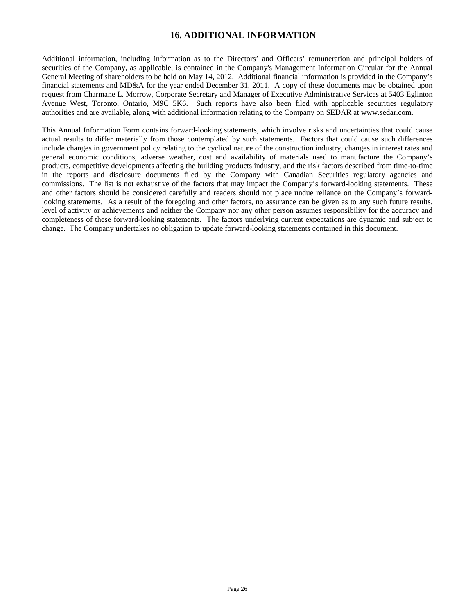## **16. ADDITIONAL INFORMATION**

Additional information, including information as to the Directors' and Officers' remuneration and principal holders of securities of the Company, as applicable, is contained in the Company's Management Information Circular for the Annual General Meeting of shareholders to be held on May 14, 2012. Additional financial information is provided in the Company's financial statements and MD&A for the year ended December 31, 2011. A copy of these documents may be obtained upon request from Charmane L. Morrow, Corporate Secretary and Manager of Executive Administrative Services at 5403 Eglinton Avenue West, Toronto, Ontario, M9C 5K6. Such reports have also been filed with applicable securities regulatory authorities and are available, along with additional information relating to the Company on SEDAR at www.sedar.com.

This Annual Information Form contains forward-looking statements, which involve risks and uncertainties that could cause actual results to differ materially from those contemplated by such statements. Factors that could cause such differences include changes in government policy relating to the cyclical nature of the construction industry, changes in interest rates and general economic conditions, adverse weather, cost and availability of materials used to manufacture the Company's products, competitive developments affecting the building products industry, and the risk factors described from time-to-time in the reports and disclosure documents filed by the Company with Canadian Securities regulatory agencies and commissions. The list is not exhaustive of the factors that may impact the Company's forward-looking statements. These and other factors should be considered carefully and readers should not place undue reliance on the Company's forwardlooking statements. As a result of the foregoing and other factors, no assurance can be given as to any such future results, level of activity or achievements and neither the Company nor any other person assumes responsibility for the accuracy and completeness of these forward-looking statements. The factors underlying current expectations are dynamic and subject to change. The Company undertakes no obligation to update forward-looking statements contained in this document.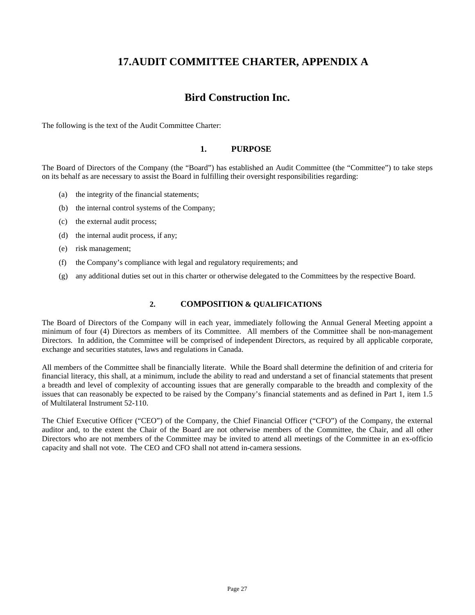# <span id="page-26-0"></span>**17.AUDIT COMMITTEE CHARTER, APPENDIX A**

## **Bird Construction Inc.**

The following is the text of the Audit Committee Charter:

### **1. PURPOSE**

The Board of Directors of the Company (the "Board") has established an Audit Committee (the "Committee") to take steps on its behalf as are necessary to assist the Board in fulfilling their oversight responsibilities regarding:

- (a) the integrity of the financial statements;
- (b) the internal control systems of the Company;
- (c) the external audit process;
- (d) the internal audit process, if any;
- (e) risk management;
- (f) the Company's compliance with legal and regulatory requirements; and
- (g) any additional duties set out in this charter or otherwise delegated to the Committees by the respective Board.

### **2. COMPOSITION & QUALIFICATIONS**

The Board of Directors of the Company will in each year, immediately following the Annual General Meeting appoint a minimum of four (4) Directors as members of its Committee. All members of the Committee shall be non-management Directors. In addition, the Committee will be comprised of independent Directors, as required by all applicable corporate, exchange and securities statutes, laws and regulations in Canada.

All members of the Committee shall be financially literate. While the Board shall determine the definition of and criteria for financial literacy, this shall, at a minimum, include the ability to read and understand a set of financial statements that present a breadth and level of complexity of accounting issues that are generally comparable to the breadth and complexity of the issues that can reasonably be expected to be raised by the Company's financial statements and as defined in Part 1, item 1.5 of Multilateral Instrument 52-110.

The Chief Executive Officer ("CEO") of the Company, the Chief Financial Officer ("CFO") of the Company, the external auditor and, to the extent the Chair of the Board are not otherwise members of the Committee, the Chair, and all other Directors who are not members of the Committee may be invited to attend all meetings of the Committee in an ex-officio capacity and shall not vote. The CEO and CFO shall not attend in-camera sessions.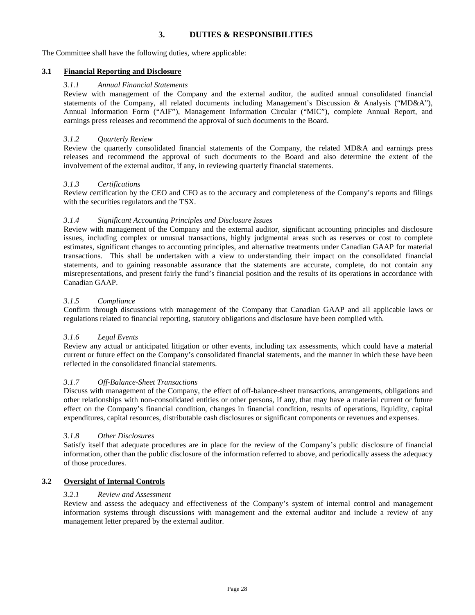## **3. DUTIES & RESPONSIBILITIES**

The Committee shall have the following duties, where applicable:

#### **3.1 Financial Reporting and Disclosure**

#### *3.1.1 Annual Financial Statements*

Review with management of the Company and the external auditor, the audited annual consolidated financial statements of the Company, all related documents including Management's Discussion & Analysis ("MD&A"), Annual Information Form ("AIF"), Management Information Circular ("MIC"), complete Annual Report, and earnings press releases and recommend the approval of such documents to the Board.

### *3.1.2 Quarterly Review*

Review the quarterly consolidated financial statements of the Company, the related MD&A and earnings press releases and recommend the approval of such documents to the Board and also determine the extent of the involvement of the external auditor, if any, in reviewing quarterly financial statements.

### *3.1.3 Certifications*

Review certification by the CEO and CFO as to the accuracy and completeness of the Company's reports and filings with the securities regulators and the TSX.

### *3.1.4 Significant Accounting Principles and Disclosure Issues*

Review with management of the Company and the external auditor, significant accounting principles and disclosure issues, including complex or unusual transactions, highly judgmental areas such as reserves or cost to complete estimates, significant changes to accounting principles, and alternative treatments under Canadian GAAP for material transactions. This shall be undertaken with a view to understanding their impact on the consolidated financial statements, and to gaining reasonable assurance that the statements are accurate, complete, do not contain any misrepresentations, and present fairly the fund's financial position and the results of its operations in accordance with Canadian GAAP.

### *3.1.5 Compliance*

Confirm through discussions with management of the Company that Canadian GAAP and all applicable laws or regulations related to financial reporting, statutory obligations and disclosure have been complied with.

### *3.1.6 Legal Events*

Review any actual or anticipated litigation or other events, including tax assessments, which could have a material current or future effect on the Company's consolidated financial statements, and the manner in which these have been reflected in the consolidated financial statements.

### *3.1.7 Off-Balance-Sheet Transactions*

Discuss with management of the Company, the effect of off-balance-sheet transactions, arrangements, obligations and other relationships with non-consolidated entities or other persons, if any, that may have a material current or future effect on the Company's financial condition, changes in financial condition, results of operations, liquidity, capital expenditures, capital resources, distributable cash disclosures or significant components or revenues and expenses.

### *3.1.8 Other Disclosures*

Satisfy itself that adequate procedures are in place for the review of the Company's public disclosure of financial information, other than the public disclosure of the information referred to above, and periodically assess the adequacy of those procedures.

### **3.2 Oversight of Internal Controls**

### *3.2.1 Review and Assessment*

Review and assess the adequacy and effectiveness of the Company's system of internal control and management information systems through discussions with management and the external auditor and include a review of any management letter prepared by the external auditor.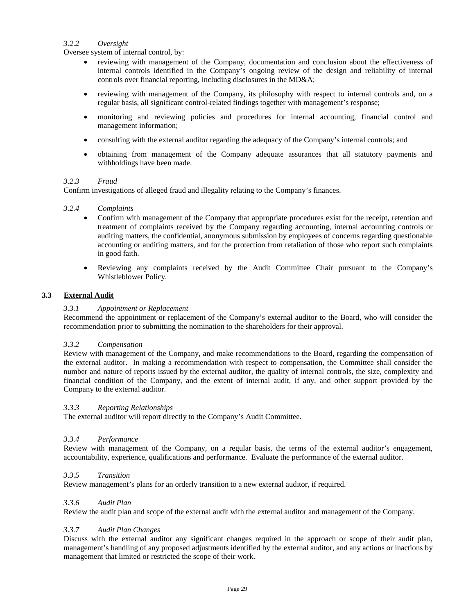### *3.2.2 Oversight*

Oversee system of internal control, by:

- reviewing with management of the Company, documentation and conclusion about the effectiveness of internal controls identified in the Company's ongoing review of the design and reliability of internal controls over financial reporting, including disclosures in the MD&A;
- reviewing with management of the Company, its philosophy with respect to internal controls and, on a regular basis, all significant control-related findings together with management's response;
- monitoring and reviewing policies and procedures for internal accounting, financial control and management information;
- consulting with the external auditor regarding the adequacy of the Company's internal controls; and
- obtaining from management of the Company adequate assurances that all statutory payments and withholdings have been made.

### *3.2.3 Fraud*

Confirm investigations of alleged fraud and illegality relating to the Company's finances.

### *3.2.4 Complaints*

- Confirm with management of the Company that appropriate procedures exist for the receipt, retention and treatment of complaints received by the Company regarding accounting, internal accounting controls or auditing matters, the confidential, anonymous submission by employees of concerns regarding questionable accounting or auditing matters, and for the protection from retaliation of those who report such complaints in good faith.
- Reviewing any complaints received by the Audit Committee Chair pursuant to the Company's Whistleblower Policy.

### **3.3 External Audit**

### *3.3.1 Appointment or Replacement*

Recommend the appointment or replacement of the Company's external auditor to the Board, who will consider the recommendation prior to submitting the nomination to the shareholders for their approval.

### *3.3.2 Compensation*

Review with management of the Company, and make recommendations to the Board, regarding the compensation of the external auditor. In making a recommendation with respect to compensation, the Committee shall consider the number and nature of reports issued by the external auditor, the quality of internal controls, the size, complexity and financial condition of the Company, and the extent of internal audit, if any, and other support provided by the Company to the external auditor.

### *3.3.3 Reporting Relationships*

The external auditor will report directly to the Company's Audit Committee.

### *3.3.4 Performance*

Review with management of the Company, on a regular basis, the terms of the external auditor's engagement, accountability, experience, qualifications and performance. Evaluate the performance of the external auditor.

### *3.3.5 Transition*

Review management's plans for an orderly transition to a new external auditor, if required.

### *3.3.6 Audit Plan*

Review the audit plan and scope of the external audit with the external auditor and management of the Company.

### *3.3.7 Audit Plan Changes*

Discuss with the external auditor any significant changes required in the approach or scope of their audit plan, management's handling of any proposed adjustments identified by the external auditor, and any actions or inactions by management that limited or restricted the scope of their work.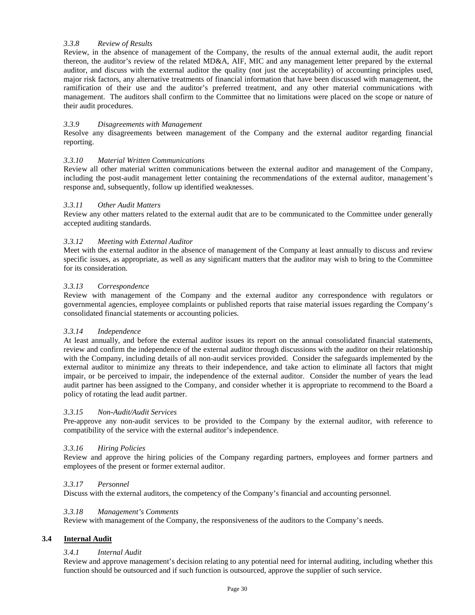### *3.3.8 Review of Results*

Review, in the absence of management of the Company, the results of the annual external audit, the audit report thereon, the auditor's review of the related MD&A, AIF, MIC and any management letter prepared by the external auditor, and discuss with the external auditor the quality (not just the acceptability) of accounting principles used, major risk factors, any alternative treatments of financial information that have been discussed with management, the ramification of their use and the auditor's preferred treatment, and any other material communications with management. The auditors shall confirm to the Committee that no limitations were placed on the scope or nature of their audit procedures.

### *3.3.9 Disagreements with Management*

Resolve any disagreements between management of the Company and the external auditor regarding financial reporting.

### *3.3.10 Material Written Communications*

Review all other material written communications between the external auditor and management of the Company, including the post-audit management letter containing the recommendations of the external auditor, management's response and, subsequently, follow up identified weaknesses.

#### *3.3.11 Other Audit Matters*

Review any other matters related to the external audit that are to be communicated to the Committee under generally accepted auditing standards.

### *3.3.12 Meeting with External Auditor*

Meet with the external auditor in the absence of management of the Company at least annually to discuss and review specific issues, as appropriate, as well as any significant matters that the auditor may wish to bring to the Committee for its consideration.

### *3.3.13 Correspondence*

Review with management of the Company and the external auditor any correspondence with regulators or governmental agencies, employee complaints or published reports that raise material issues regarding the Company's consolidated financial statements or accounting policies.

#### *3.3.14 Independence*

At least annually, and before the external auditor issues its report on the annual consolidated financial statements, review and confirm the independence of the external auditor through discussions with the auditor on their relationship with the Company, including details of all non-audit services provided. Consider the safeguards implemented by the external auditor to minimize any threats to their independence, and take action to eliminate all factors that might impair, or be perceived to impair, the independence of the external auditor. Consider the number of years the lead audit partner has been assigned to the Company, and consider whether it is appropriate to recommend to the Board a policy of rotating the lead audit partner.

#### *3.3.15 Non-Audit/Audit Services*

Pre-approve any non-audit services to be provided to the Company by the external auditor, with reference to compatibility of the service with the external auditor's independence.

### *3.3.16 Hiring Policies*

Review and approve the hiring policies of the Company regarding partners, employees and former partners and employees of the present or former external auditor.

#### *3.3.17 Personnel*

Discuss with the external auditors, the competency of the Company's financial and accounting personnel.

#### *3.3.18 Management's Comments*

Review with management of the Company, the responsiveness of the auditors to the Company's needs.

### **3.4 Internal Audit**

### *3.4.1 Internal Audit*

Review and approve management's decision relating to any potential need for internal auditing, including whether this function should be outsourced and if such function is outsourced, approve the supplier of such service.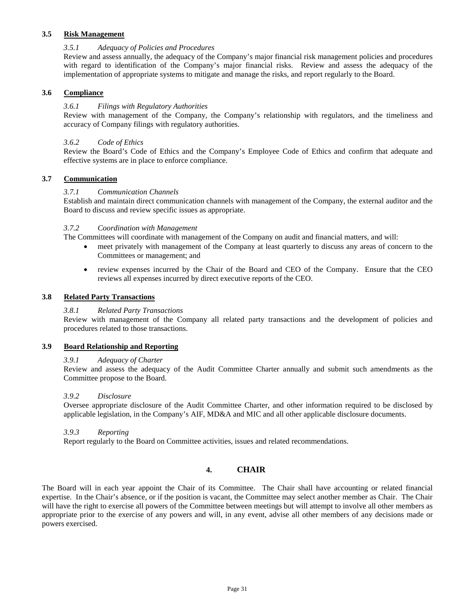### **3.5 Risk Management**

### *3.5.1 Adequacy of Policies and Procedures*

Review and assess annually, the adequacy of the Company's major financial risk management policies and procedures with regard to identification of the Company's major financial risks. Review and assess the adequacy of the implementation of appropriate systems to mitigate and manage the risks, and report regularly to the Board.

### **3.6 Compliance**

### *3.6.1 Filings with Regulatory Authorities*

Review with management of the Company, the Company's relationship with regulators, and the timeliness and accuracy of Company filings with regulatory authorities.

### *3.6.2 Code of Ethics*

Review the Board's Code of Ethics and the Company's Employee Code of Ethics and confirm that adequate and effective systems are in place to enforce compliance.

### **3.7 Communication**

### *3.7.1 Communication Channels*

Establish and maintain direct communication channels with management of the Company, the external auditor and the Board to discuss and review specific issues as appropriate.

### *3.7.2 Coordination with Management*

The Committees will coordinate with management of the Company on audit and financial matters, and will:

- meet privately with management of the Company at least quarterly to discuss any areas of concern to the Committees or management; and
- review expenses incurred by the Chair of the Board and CEO of the Company. Ensure that the CEO reviews all expenses incurred by direct executive reports of the CEO.

### **3.8 Related Party Transactions**

### *3.8.1 Related Party Transactions*

Review with management of the Company all related party transactions and the development of policies and procedures related to those transactions.

### **3.9 Board Relationship and Reporting**

### *3.9.1 Adequacy of Charter*

Review and assess the adequacy of the Audit Committee Charter annually and submit such amendments as the Committee propose to the Board.

### *3.9.2 Disclosure*

Oversee appropriate disclosure of the Audit Committee Charter, and other information required to be disclosed by applicable legislation, in the Company's AIF, MD&A and MIC and all other applicable disclosure documents.

### *3.9.3 Reporting*

Report regularly to the Board on Committee activities, issues and related recommendations.

## **4. CHAIR**

The Board will in each year appoint the Chair of its Committee. The Chair shall have accounting or related financial expertise. In the Chair's absence, or if the position is vacant, the Committee may select another member as Chair. The Chair will have the right to exercise all powers of the Committee between meetings but will attempt to involve all other members as appropriate prior to the exercise of any powers and will, in any event, advise all other members of any decisions made or powers exercised.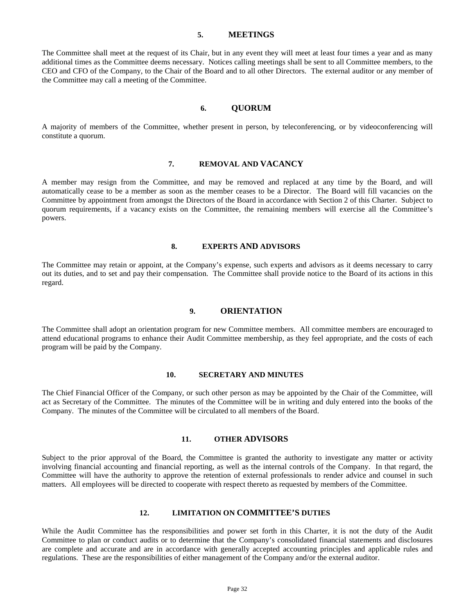#### **5. MEETINGS**

The Committee shall meet at the request of its Chair, but in any event they will meet at least four times a year and as many additional times as the Committee deems necessary. Notices calling meetings shall be sent to all Committee members, to the CEO and CFO of the Company, to the Chair of the Board and to all other Directors. The external auditor or any member of the Committee may call a meeting of the Committee.

#### **6. QUORUM**

A majority of members of the Committee, whether present in person, by teleconferencing, or by videoconferencing will constitute a quorum.

#### **7. REMOVAL AND VACANCY**

A member may resign from the Committee, and may be removed and replaced at any time by the Board, and will automatically cease to be a member as soon as the member ceases to be a Director. The Board will fill vacancies on the Committee by appointment from amongst the Directors of the Board in accordance with Section 2 of this Charter. Subject to quorum requirements, if a vacancy exists on the Committee, the remaining members will exercise all the Committee's powers.

#### **8. EXPERTS AND ADVISORS**

The Committee may retain or appoint, at the Company's expense, such experts and advisors as it deems necessary to carry out its duties, and to set and pay their compensation. The Committee shall provide notice to the Board of its actions in this regard.

#### **9. ORIENTATION**

The Committee shall adopt an orientation program for new Committee members. All committee members are encouraged to attend educational programs to enhance their Audit Committee membership, as they feel appropriate, and the costs of each program will be paid by the Company.

#### **10. SECRETARY AND MINUTES**

The Chief Financial Officer of the Company, or such other person as may be appointed by the Chair of the Committee, will act as Secretary of the Committee. The minutes of the Committee will be in writing and duly entered into the books of the Company. The minutes of the Committee will be circulated to all members of the Board.

#### **11. OTHER ADVISORS**

Subject to the prior approval of the Board, the Committee is granted the authority to investigate any matter or activity involving financial accounting and financial reporting, as well as the internal controls of the Company. In that regard, the Committee will have the authority to approve the retention of external professionals to render advice and counsel in such matters. All employees will be directed to cooperate with respect thereto as requested by members of the Committee.

### **12. LIMITATION ON COMMITTEE'S DUTIES**

While the Audit Committee has the responsibilities and power set forth in this Charter, it is not the duty of the Audit Committee to plan or conduct audits or to determine that the Company's consolidated financial statements and disclosures are complete and accurate and are in accordance with generally accepted accounting principles and applicable rules and regulations. These are the responsibilities of either management of the Company and/or the external auditor.